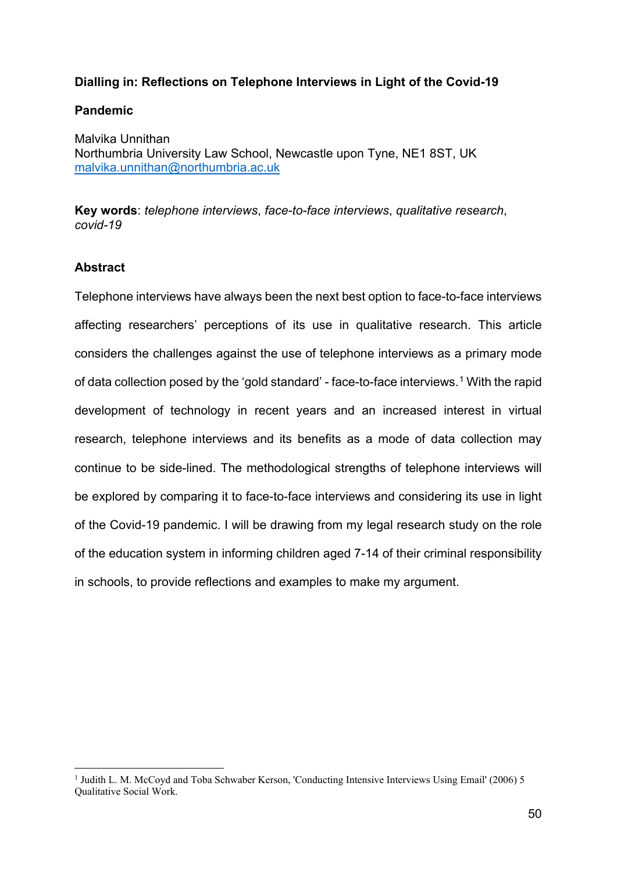# **Dialling in: Reflections on Telephone Interviews in Light of the Covid-19**

## **Pandemic**

Malvika Unnithan Northumbria University Law School, Newcastle upon Tyne, NE1 8ST, UK [malvika.unnithan@northumbria.ac.uk](mailto:malvika.unnithan@northumbria.ac.uk)

**Key words**: *telephone interviews*, *face-to-face interviews*, *qualitative research*, *covid-19*

# **Abstract**

Telephone interviews have always been the next best option to face-to-face interviews affecting researchers' perceptions of its use in qualitative research. This article considers the challenges against the use of telephone interviews as a primary mode of data collection posed by the 'gold standard' - face-to-face interviews.<sup>[1](#page-0-0)</sup> With the rapid development of technology in recent years and an increased interest in virtual research, telephone interviews and its benefits as a mode of data collection may continue to be side-lined. The methodological strengths of telephone interviews will be explored by comparing it to face-to-face interviews and considering its use in light of the Covid-19 pandemic. I will be drawing from my legal research study on the role of the education system in informing children aged 7-14 of their criminal responsibility in schools, to provide reflections and examples to make my argument.

<span id="page-0-0"></span><sup>&</sup>lt;sup>1</sup> Judith L. M. McCoyd and Toba Schwaber Kerson, 'Conducting Intensive Interviews Using Email' (2006) 5 Qualitative Social Work.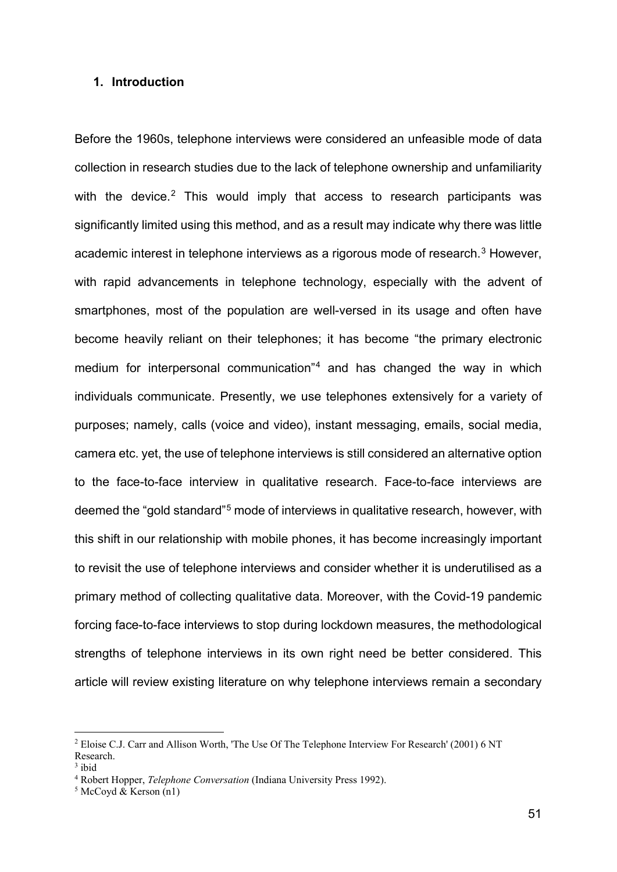### **1. Introduction**

Before the 1960s, telephone interviews were considered an unfeasible mode of data collection in research studies due to the lack of telephone ownership and unfamiliarity with the device.<sup>[2](#page-1-0)</sup> This would imply that access to research participants was significantly limited using this method, and as a result may indicate why there was little academic interest in telephone interviews as a rigorous mode of research.<sup>[3](#page-1-1)</sup> However, with rapid advancements in telephone technology, especially with the advent of smartphones, most of the population are well-versed in its usage and often have become heavily reliant on their telephones; it has become "the primary electronic medium for interpersonal communication"[4](#page-1-2) and has changed the way in which individuals communicate. Presently, we use telephones extensively for a variety of purposes; namely, calls (voice and video), instant messaging, emails, social media, camera etc. yet, the use of telephone interviews is still considered an alternative option to the face-to-face interview in qualitative research. Face-to-face interviews are deemed the "gold standard"[5](#page-1-3) mode of interviews in qualitative research, however, with this shift in our relationship with mobile phones, it has become increasingly important to revisit the use of telephone interviews and consider whether it is underutilised as a primary method of collecting qualitative data. Moreover, with the Covid-19 pandemic forcing face-to-face interviews to stop during lockdown measures, the methodological strengths of telephone interviews in its own right need be better considered. This article will review existing literature on why telephone interviews remain a secondary

<span id="page-1-0"></span><sup>2</sup> Eloise C.J. Carr and Allison Worth, 'The Use Of The Telephone Interview For Research' (2001) 6 NT Research.

<span id="page-1-1"></span> $3$  ibid

<span id="page-1-2"></span><sup>4</sup> Robert Hopper, *Telephone Conversation* (Indiana University Press 1992).

<span id="page-1-3"></span> $<sup>5</sup>$  McCoyd & Kerson (n1)</sup>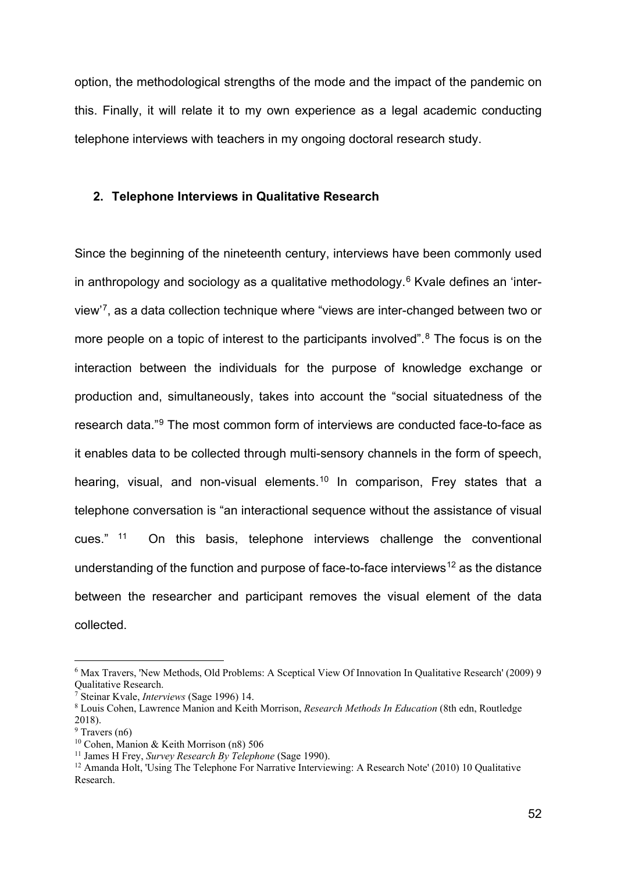option, the methodological strengths of the mode and the impact of the pandemic on this. Finally, it will relate it to my own experience as a legal academic conducting telephone interviews with teachers in my ongoing doctoral research study.

#### **2. Telephone Interviews in Qualitative Research**

Since the beginning of the nineteenth century, interviews have been commonly used in anthropology and sociology as a qualitative methodology.<sup>[6](#page-2-0)</sup> Kvale defines an 'interview'[7,](#page-2-1) as a data collection technique where "views are inter-changed between two or more people on a topic of interest to the participants involved". $8$  The focus is on the interaction between the individuals for the purpose of knowledge exchange or production and, simultaneously, takes into account the "social situatedness of the research data."[9](#page-2-3) The most common form of interviews are conducted face-to-face as it enables data to be collected through multi-sensory channels in the form of speech, hearing, visual, and non-visual elements.<sup>[10](#page-2-4)</sup> In comparison, Frey states that a telephone conversation is "an interactional sequence without the assistance of visual cues." [11](#page-2-5) On this basis, telephone interviews challenge the conventional understanding of the function and purpose of face-to-face interviews<sup>[12](#page-2-6)</sup> as the distance between the researcher and participant removes the visual element of the data collected.

<span id="page-2-0"></span><sup>6</sup> Max Travers, 'New Methods, Old Problems: A Sceptical View Of Innovation In Qualitative Research' (2009) 9 Qualitative Research.

<span id="page-2-1"></span><sup>7</sup> Steinar Kvale, *Interviews* (Sage 1996) 14.

<span id="page-2-2"></span><sup>8</sup> Louis Cohen, Lawrence Manion and Keith Morrison, *Research Methods In Education* (8th edn, Routledge 2018).

<span id="page-2-3"></span> $9$  Travers (n6)

<span id="page-2-4"></span><sup>10</sup> Cohen, Manion & Keith Morrison (n8) 506

<span id="page-2-5"></span><sup>11</sup> James H Frey, *Survey Research By Telephone* (Sage 1990).

<span id="page-2-6"></span><sup>12</sup> Amanda Holt, 'Using The Telephone For Narrative Interviewing: A Research Note' (2010) 10 Qualitative Research.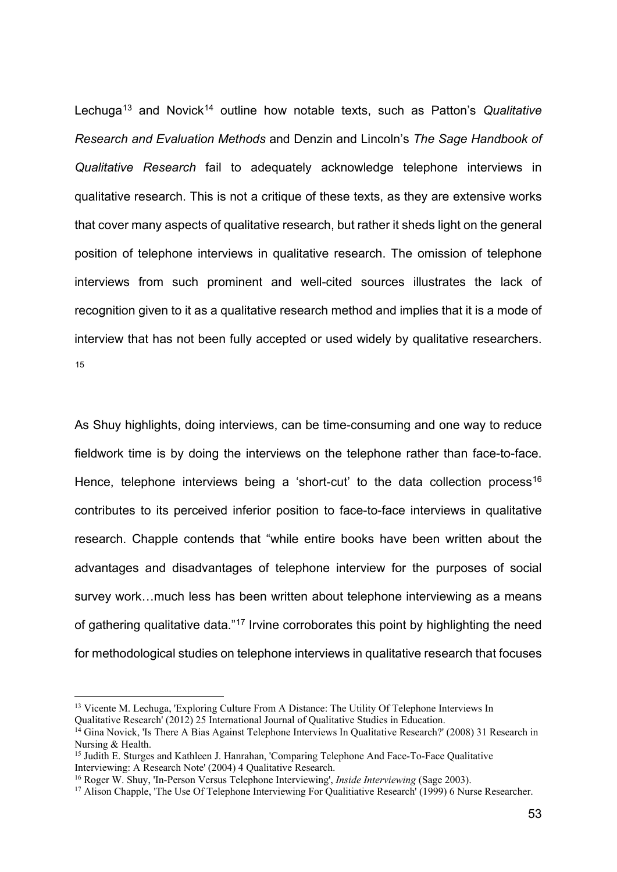Lechuga<sup>[13](#page-3-0)</sup> and Novick<sup>[14](#page-3-1)</sup> outline how notable texts, such as Patton's *Qualitative Research and Evaluation Methods* and Denzin and Lincoln's *The Sage Handbook of Qualitative Research* fail to adequately acknowledge telephone interviews in qualitative research. This is not a critique of these texts, as they are extensive works that cover many aspects of qualitative research, but rather it sheds light on the general position of telephone interviews in qualitative research. The omission of telephone interviews from such prominent and well-cited sources illustrates the lack of recognition given to it as a qualitative research method and implies that it is a mode of interview that has not been fully accepted or used widely by qualitative researchers. [15](#page-3-2)

As Shuy highlights, doing interviews, can be time-consuming and one way to reduce fieldwork time is by doing the interviews on the telephone rather than face-to-face. Hence, telephone interviews being a 'short-cut' to the data collection process<sup>[16](#page-3-3)</sup> contributes to its perceived inferior position to face-to-face interviews in qualitative research. Chapple contends that "while entire books have been written about the advantages and disadvantages of telephone interview for the purposes of social survey work…much less has been written about telephone interviewing as a means of gathering qualitative data."[17](#page-3-4) Irvine corroborates this point by highlighting the need for methodological studies on telephone interviews in qualitative research that focuses

<span id="page-3-0"></span><sup>&</sup>lt;sup>13</sup> Vicente M. Lechuga, 'Exploring Culture From A Distance: The Utility Of Telephone Interviews In Qualitative Research' (2012) 25 International Journal of Qualitative Studies in Education.

<span id="page-3-1"></span><sup>&</sup>lt;sup>14</sup> Gina Novick, 'Is There A Bias Against Telephone Interviews In Qualitative Research?' (2008) 31 Research in Nursing & Health.

<span id="page-3-2"></span><sup>&</sup>lt;sup>15</sup> Judith E. Sturges and Kathleen J. Hanrahan, 'Comparing Telephone And Face-To-Face Qualitative Interviewing: A Research Note' (2004) 4 Qualitative Research.

<span id="page-3-3"></span><sup>16</sup> Roger W. Shuy, 'In-Person Versus Telephone Interviewing', *Inside Interviewing* (Sage 2003).

<span id="page-3-4"></span><sup>&</sup>lt;sup>17</sup> Alison Chapple, 'The Use Of Telephone Interviewing For Qualitiative Research' (1999) 6 Nurse Researcher.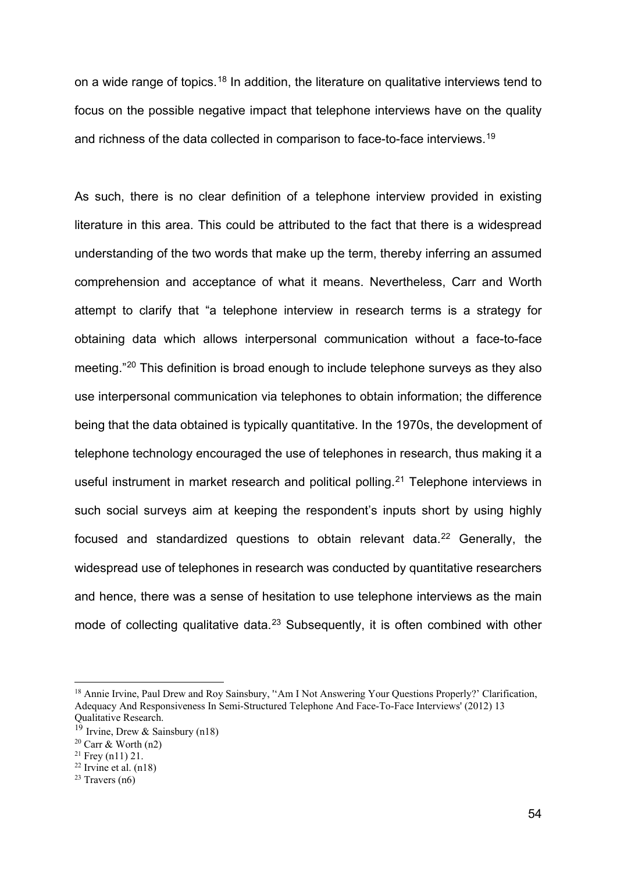on a wide range of topics.[18](#page-4-0) In addition, the literature on qualitative interviews tend to focus on the possible negative impact that telephone interviews have on the quality and richness of the data collected in comparison to face-to-face interviews.[19](#page-4-1)

As such, there is no clear definition of a telephone interview provided in existing literature in this area. This could be attributed to the fact that there is a widespread understanding of the two words that make up the term, thereby inferring an assumed comprehension and acceptance of what it means. Nevertheless, Carr and Worth attempt to clarify that "a telephone interview in research terms is a strategy for obtaining data which allows interpersonal communication without a face-to-face meeting."[20](#page-4-2) This definition is broad enough to include telephone surveys as they also use interpersonal communication via telephones to obtain information; the difference being that the data obtained is typically quantitative. In the 1970s, the development of telephone technology encouraged the use of telephones in research, thus making it a useful instrument in market research and political polling.<sup>[21](#page-4-3)</sup> Telephone interviews in such social surveys aim at keeping the respondent's inputs short by using highly focused and standardized questions to obtain relevant data.<sup>[22](#page-4-4)</sup> Generally, the widespread use of telephones in research was conducted by quantitative researchers and hence, there was a sense of hesitation to use telephone interviews as the main mode of collecting qualitative data.<sup>[23](#page-4-5)</sup> Subsequently, it is often combined with other

<span id="page-4-0"></span><sup>&</sup>lt;sup>18</sup> Annie Irvine, Paul Drew and Roy Sainsbury, "Am I Not Answering Your Questions Properly?' Clarification, Adequacy And Responsiveness In Semi-Structured Telephone And Face-To-Face Interviews' (2012) 13 Qualitative Research.

<span id="page-4-1"></span><sup>&</sup>lt;sup>19</sup> Irvine, Drew & Sainsbury (n18)

<span id="page-4-2"></span> $20$  Carr & Worth (n2)

<span id="page-4-3"></span> $21$  Frey (n11) 21.

<span id="page-4-4"></span> $22$  Irvine et al. (n18)

<span id="page-4-5"></span> $23$  Travers (n6)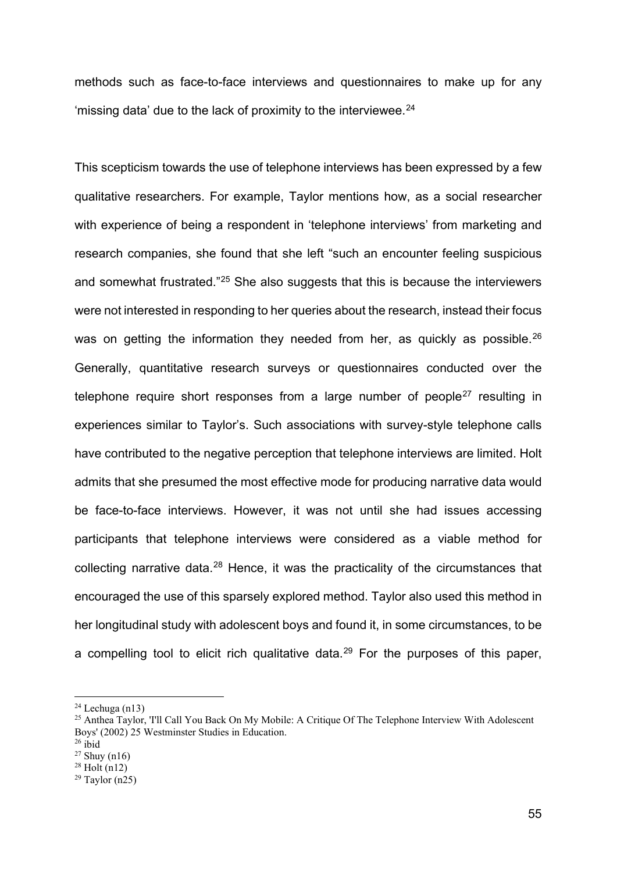methods such as face-to-face interviews and questionnaires to make up for any 'missing data' due to the lack of proximity to the interviewee. $^{24}$  $^{24}$  $^{24}$ 

This scepticism towards the use of telephone interviews has been expressed by a few qualitative researchers. For example, Taylor mentions how, as a social researcher with experience of being a respondent in 'telephone interviews' from marketing and research companies, she found that she left "such an encounter feeling suspicious and somewhat frustrated."[25](#page-5-1) She also suggests that this is because the interviewers were not interested in responding to her queries about the research, instead their focus was on getting the information they needed from her, as quickly as possible.<sup>[26](#page-5-2)</sup> Generally, quantitative research surveys or questionnaires conducted over the telephone require short responses from a large number of people<sup>[27](#page-5-3)</sup> resulting in experiences similar to Taylor's. Such associations with survey-style telephone calls have contributed to the negative perception that telephone interviews are limited. Holt admits that she presumed the most effective mode for producing narrative data would be face-to-face interviews. However, it was not until she had issues accessing participants that telephone interviews were considered as a viable method for collecting narrative data.<sup>[28](#page-5-4)</sup> Hence, it was the practicality of the circumstances that encouraged the use of this sparsely explored method. Taylor also used this method in her longitudinal study with adolescent boys and found it, in some circumstances, to be a compelling tool to elicit rich qualitative data.<sup>[29](#page-5-5)</sup> For the purposes of this paper,

<span id="page-5-0"></span> $24$  Lechuga (n13)

<span id="page-5-1"></span><sup>&</sup>lt;sup>25</sup> Anthea Taylor, 'I'll Call You Back On My Mobile: A Critique Of The Telephone Interview With Adolescent Boys' (2002) 25 Westminster Studies in Education.

<span id="page-5-2"></span> $26$  ibid

<span id="page-5-3"></span> $^{27}$  Shuy (n16)

<span id="page-5-4"></span> $28$  Holt (n12)

<span id="page-5-5"></span> $29$  Taylor (n25)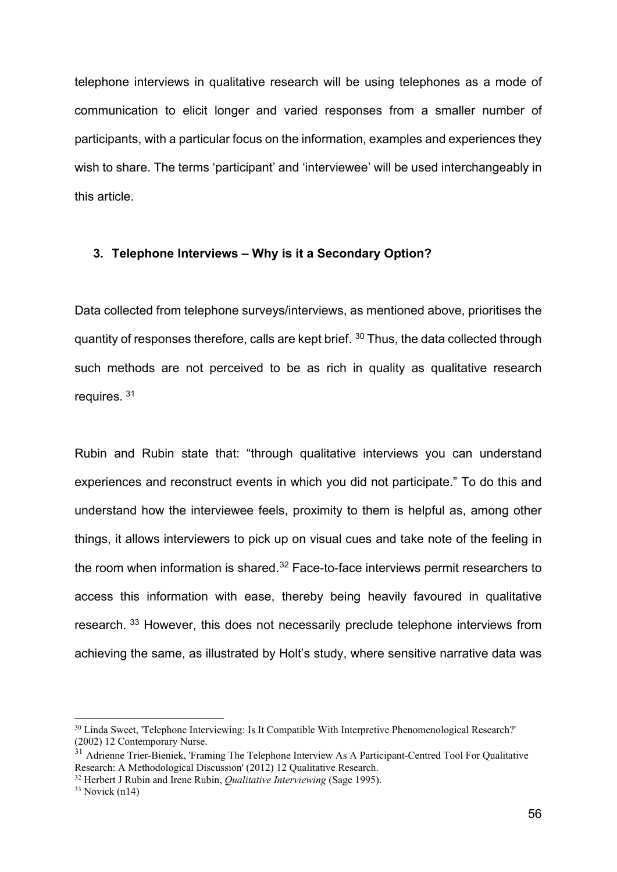telephone interviews in qualitative research will be using telephones as a mode of communication to elicit longer and varied responses from a smaller number of participants, with a particular focus on the information, examples and experiences they wish to share. The terms 'participant' and 'interviewee' will be used interchangeably in this article.

#### **3. Telephone Interviews – Why is it a Secondary Option?**

Data collected from telephone surveys/interviews, as mentioned above, prioritises the quantity of responses therefore, calls are kept brief. [30](#page-6-0) Thus, the data collected through such methods are not perceived to be as rich in quality as qualitative research requires. [31](#page-6-1)

Rubin and Rubin state that: "through qualitative interviews you can understand experiences and reconstruct events in which you did not participate." To do this and understand how the interviewee feels, proximity to them is helpful as, among other things, it allows interviewers to pick up on visual cues and take note of the feeling in the room when information is shared. $32$  Face-to-face interviews permit researchers to access this information with ease, thereby being heavily favoured in qualitative research. [33](#page-6-3) However, this does not necessarily preclude telephone interviews from achieving the same, as illustrated by Holt's study, where sensitive narrative data was

<span id="page-6-0"></span><sup>&</sup>lt;sup>30</sup> Linda Sweet, 'Telephone Interviewing: Is It Compatible With Interpretive Phenomenological Research?' (2002) 12 Contemporary Nurse.

<span id="page-6-1"></span><sup>&</sup>lt;sup>31</sup> Adrienne Trier-Bieniek, 'Framing The Telephone Interview As A Participant-Centred Tool For Qualitative Research: A Methodological Discussion' (2012) 12 Qualitative Research.

<span id="page-6-2"></span><sup>32</sup> Herbert J Rubin and Irene Rubin, *Qualitative Interviewing* (Sage 1995).

<span id="page-6-3"></span> $33$  Novick (n14)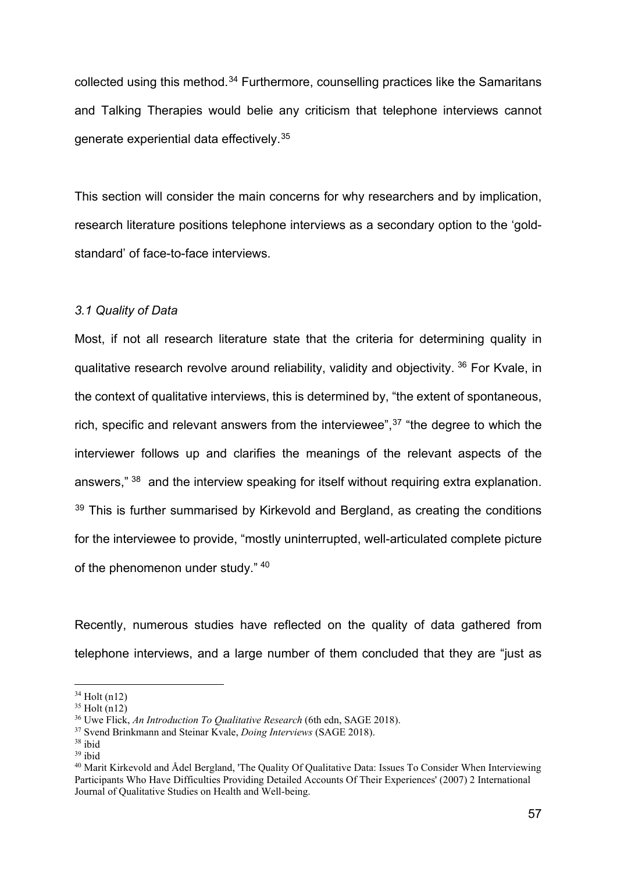collected using this method.<sup>[34](#page-7-0)</sup> Furthermore, counselling practices like the Samaritans and Talking Therapies would belie any criticism that telephone interviews cannot generate experiential data effectively.[35](#page-7-1)

This section will consider the main concerns for why researchers and by implication, research literature positions telephone interviews as a secondary option to the 'goldstandard' of face-to-face interviews.

## *3.1 Quality of Data*

Most, if not all research literature state that the criteria for determining quality in qualitative research revolve around reliability, validity and objectivity. [36](#page-7-2) For Kvale, in the context of qualitative interviews, this is determined by, "the extent of spontaneous, rich, specific and relevant answers from the interviewee",<sup>[37](#page-7-3)</sup> "the degree to which the interviewer follows up and clarifies the meanings of the relevant aspects of the answers," [38](#page-7-4) and the interview speaking for itself without requiring extra explanation.  $39$  This is further summarised by Kirkevold and Bergland, as creating the conditions for the interviewee to provide, "mostly uninterrupted, well-articulated complete picture of the phenomenon under study." [40](#page-7-6)

Recently, numerous studies have reflected on the quality of data gathered from telephone interviews, and a large number of them concluded that they are "just as

<span id="page-7-0"></span> $34$  Holt (n12)

<span id="page-7-1"></span> $35$  Holt (n12)

<span id="page-7-2"></span><sup>36</sup> Uwe Flick, *An Introduction To Qualitative Research* (6th edn, SAGE 2018).

<span id="page-7-3"></span><sup>37</sup> Svend Brinkmann and Steinar Kvale, *Doing Interviews* (SAGE 2018).

<span id="page-7-4"></span><sup>38</sup> ibid

<span id="page-7-5"></span> $39$  ibid

<span id="page-7-6"></span><sup>40</sup> Marit Kirkevold and Ådel Bergland, 'The Quality Of Qualitative Data: Issues To Consider When Interviewing Participants Who Have Difficulties Providing Detailed Accounts Of Their Experiences' (2007) 2 International Journal of Qualitative Studies on Health and Well-being.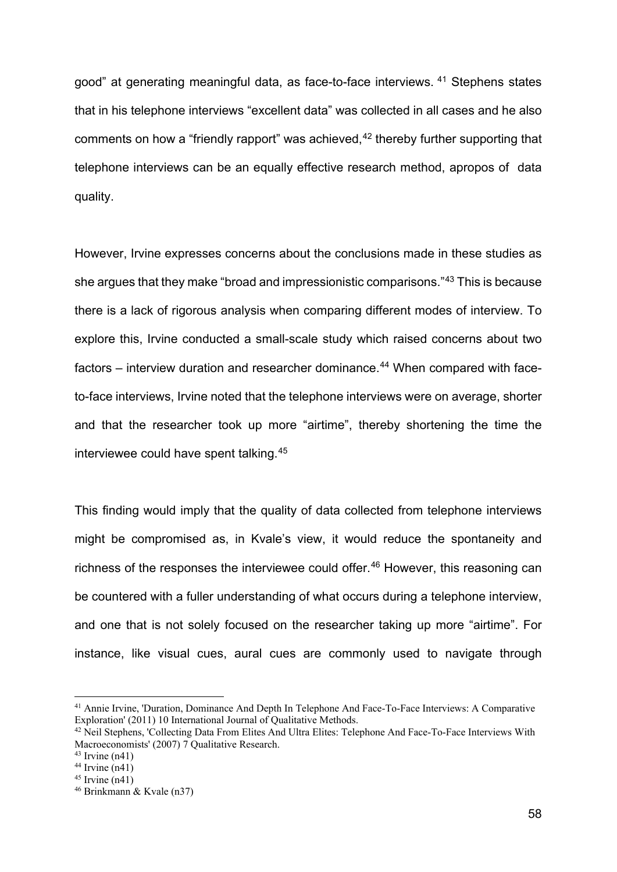good" at generating meaningful data, as face-to-face interviews. [41](#page-8-0) Stephens states that in his telephone interviews "excellent data" was collected in all cases and he also comments on how a "friendly rapport" was achieved,<sup>[42](#page-8-1)</sup> thereby further supporting that telephone interviews can be an equally effective research method, apropos of data quality.

However, Irvine expresses concerns about the conclusions made in these studies as she argues that they make "broad and impressionistic comparisons."[43](#page-8-2) This is because there is a lack of rigorous analysis when comparing different modes of interview. To explore this, Irvine conducted a small-scale study which raised concerns about two factors – interview duration and researcher dominance.<sup>[44](#page-8-3)</sup> When compared with faceto-face interviews, Irvine noted that the telephone interviews were on average, shorter and that the researcher took up more "airtime", thereby shortening the time the interviewee could have spent talking.[45](#page-8-4)

This finding would imply that the quality of data collected from telephone interviews might be compromised as, in Kvale's view, it would reduce the spontaneity and richness of the responses the interviewee could offer.<sup>[46](#page-8-5)</sup> However, this reasoning can be countered with a fuller understanding of what occurs during a telephone interview, and one that is not solely focused on the researcher taking up more "airtime". For instance, like visual cues, aural cues are commonly used to navigate through

<span id="page-8-0"></span><sup>41</sup> Annie Irvine, 'Duration, Dominance And Depth In Telephone And Face-To-Face Interviews: A Comparative Exploration' (2011) 10 International Journal of Qualitative Methods.

<span id="page-8-1"></span><sup>&</sup>lt;sup>42</sup> Neil Stephens, 'Collecting Data From Elites And Ultra Elites: Telephone And Face-To-Face Interviews With Macroeconomists' (2007) 7 Qualitative Research.

<span id="page-8-2"></span> $43$  Irvine (n41)

<span id="page-8-3"></span> $44$  Irvine (n41)

<span id="page-8-4"></span> $45$  Irvine (n41)

<span id="page-8-5"></span><sup>46</sup> Brinkmann & Kvale (n37)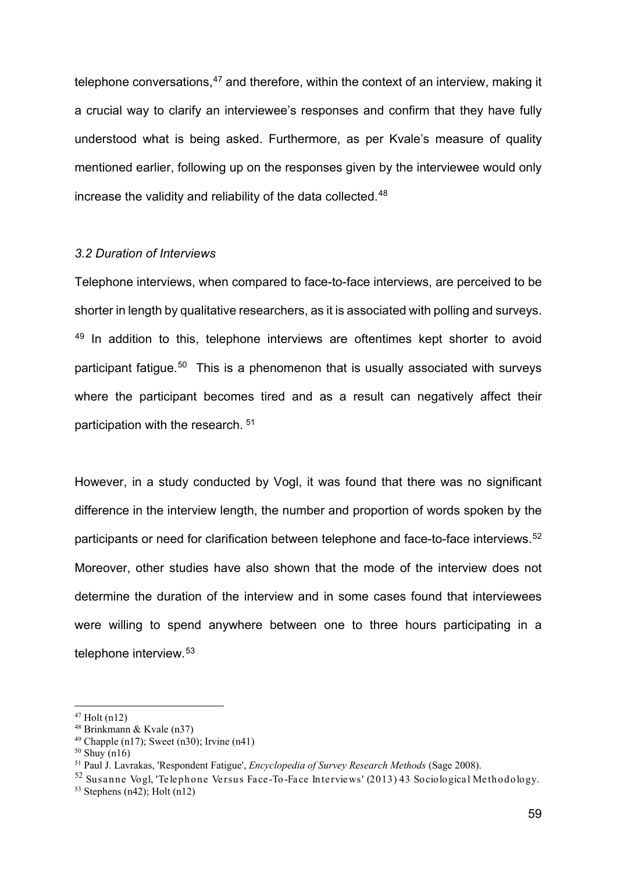telephone conversations,  $47$  and therefore, within the context of an interview, making it a crucial way to clarify an interviewee's responses and confirm that they have fully understood what is being asked. Furthermore, as per Kvale's measure of quality mentioned earlier, following up on the responses given by the interviewee would only increase the validity and reliability of the data collected.<sup>[48](#page-9-1)</sup>

#### *3.2 Duration of Interviews*

Telephone interviews, when compared to face-to-face interviews, are perceived to be shorter in length by qualitative researchers, as it is associated with polling and surveys.  $49$  In addition to this, telephone interviews are oftentimes kept shorter to avoid participant fatigue.[50](#page-9-3) This is a phenomenon that is usually associated with surveys where the participant becomes tired and as a result can negatively affect their participation with the research. [51](#page-9-4)

However, in a study conducted by Vogl, it was found that there was no significant difference in the interview length, the number and proportion of words spoken by the participants or need for clarification between telephone and face-to-face interviews.<sup>[52](#page-9-5)</sup> Moreover, other studies have also shown that the mode of the interview does not determine the duration of the interview and in some cases found that interviewees were willing to spend anywhere between one to three hours participating in a telephone interview.[53](#page-9-6)

<span id="page-9-0"></span><sup>47</sup> Holt (n12)

<span id="page-9-1"></span><sup>48</sup> Brinkmann & Kvale (n37)

<span id="page-9-2"></span><sup>&</sup>lt;sup>49</sup> Chapple (n17); Sweet (n30); Irvine (n41)

<span id="page-9-3"></span> $50$  Shuy (n16)

<span id="page-9-4"></span><sup>51</sup> Paul J. Lavrakas, 'Respondent Fatigue', *Encyclopedia of Survey Research Methods* (Sage 2008).

<span id="page-9-5"></span><sup>52</sup> Susanne Vogl, 'Telephone Versus Face -To-Face Interviews' (2013) 43 Sociological Methodology.

<span id="page-9-6"></span> $53$  Stephens (n42); Holt (n12)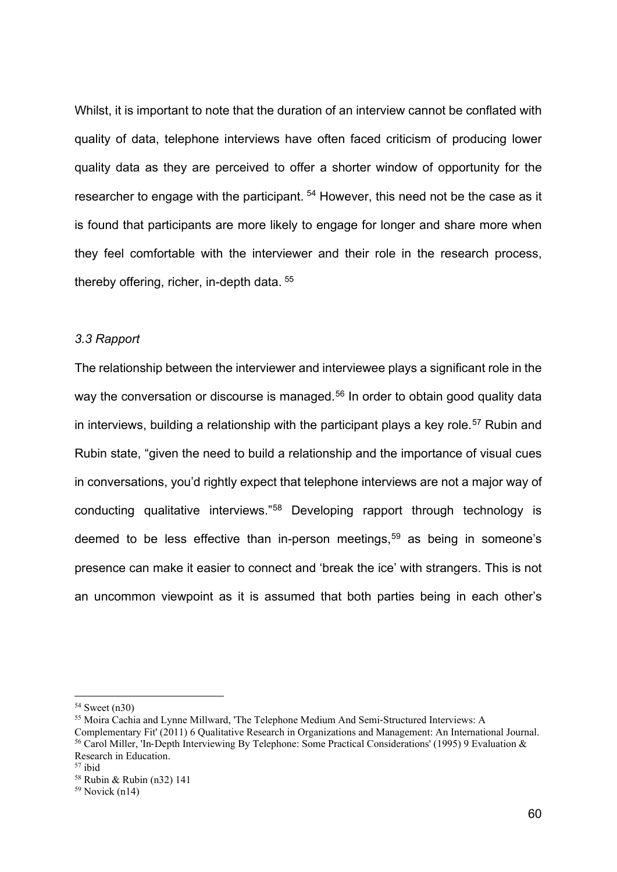Whilst, it is important to note that the duration of an interview cannot be conflated with quality of data, telephone interviews have often faced criticism of producing lower quality data as they are perceived to offer a shorter window of opportunity for the researcher to engage with the participant.<sup>[54](#page-10-0)</sup> However, this need not be the case as it is found that participants are more likely to engage for longer and share more when they feel comfortable with the interviewer and their role in the research process, thereby offering, richer, in-depth data. [55](#page-10-1)

#### *3.3 Rapport*

The relationship between the interviewer and interviewee plays a significant role in the way the conversation or discourse is managed.<sup>[56](#page-10-2)</sup> In order to obtain good quality data in interviews, building a relationship with the participant plays a key role.<sup>[57](#page-10-3)</sup> Rubin and Rubin state, "given the need to build a relationship and the importance of visual cues in conversations, you'd rightly expect that telephone interviews are not a major way of conducting qualitative interviews."[58](#page-10-4) Developing rapport through technology is deemed to be less effective than in-person meetings, [59](#page-10-5) as being in someone's presence can make it easier to connect and 'break the ice' with strangers. This is not an uncommon viewpoint as it is assumed that both parties being in each other's

<span id="page-10-1"></span><span id="page-10-0"></span><sup>54</sup> Sweet (n30)

<span id="page-10-2"></span><sup>55</sup> Moira Cachia and Lynne Millward, 'The Telephone Medium And Semi‐Structured Interviews: A Complementary Fit' (2011) 6 Qualitative Research in Organizations and Management: An International Journal.

<span id="page-10-3"></span><sup>56</sup> Carol Miller, 'In‐Depth Interviewing By Telephone: Some Practical Considerations' (1995) 9 Evaluation & Research in Education.

<span id="page-10-4"></span><sup>57</sup> ibid

<sup>58</sup> Rubin & Rubin (n32) 141

<span id="page-10-5"></span><sup>59</sup> Novick (n14)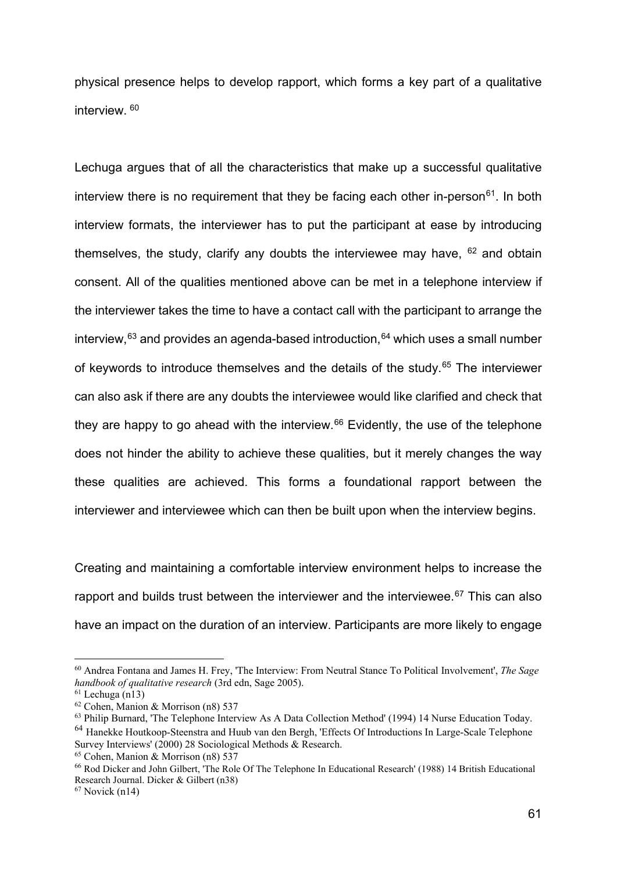physical presence helps to develop rapport, which forms a key part of a qualitative interview.<sup>[60](#page-11-0)</sup>

Lechuga argues that of all the characteristics that make up a successful qualitative interview there is no requirement that they be facing each other in-person<sup>[61](#page-11-1)</sup>. In both interview formats, the interviewer has to put the participant at ease by introducing themselves, the study, clarify any doubts the interviewee may have,  $62$  and obtain consent. All of the qualities mentioned above can be met in a telephone interview if the interviewer takes the time to have a contact call with the participant to arrange the interview,  $63$  and provides an agenda-based introduction,  $64$  which uses a small number of keywords to introduce themselves and the details of the study.[65](#page-11-5) The interviewer can also ask if there are any doubts the interviewee would like clarified and check that they are happy to go ahead with the interview.<sup>[66](#page-11-6)</sup> Evidently, the use of the telephone does not hinder the ability to achieve these qualities, but it merely changes the way these qualities are achieved. This forms a foundational rapport between the interviewer and interviewee which can then be built upon when the interview begins.

Creating and maintaining a comfortable interview environment helps to increase the rapport and builds trust between the interviewer and the interviewee. $67$  This can also have an impact on the duration of an interview. Participants are more likely to engage

<span id="page-11-0"></span><sup>60</sup> Andrea Fontana and James H. Frey, 'The Interview: From Neutral Stance To Political Involvement', *The Sage handbook of qualitative research* (3rd edn, Sage 2005).

<span id="page-11-1"></span> $61$  Lechuga (n13)

<span id="page-11-2"></span><sup>62</sup> Cohen, Manion & Morrison (n8) 537

<span id="page-11-3"></span><sup>&</sup>lt;sup>63</sup> Philip Burnard, 'The Telephone Interview As A Data Collection Method' (1994) 14 Nurse Education Today.

<span id="page-11-4"></span><sup>64</sup> Hanekke Houtkoop-Steenstra and Huub van den Bergh, 'Effects Of Introductions In Large-Scale Telephone Survey Interviews' (2000) 28 Sociological Methods & Research.

<span id="page-11-5"></span><sup>65</sup> Cohen, Manion & Morrison (n8) 537

<span id="page-11-6"></span><sup>66</sup> Rod Dicker and John Gilbert, 'The Role Of The Telephone In Educational Research' (1988) 14 British Educational Research Journal. Dicker & Gilbert (n38)

<span id="page-11-7"></span> $67$  Novick (n14)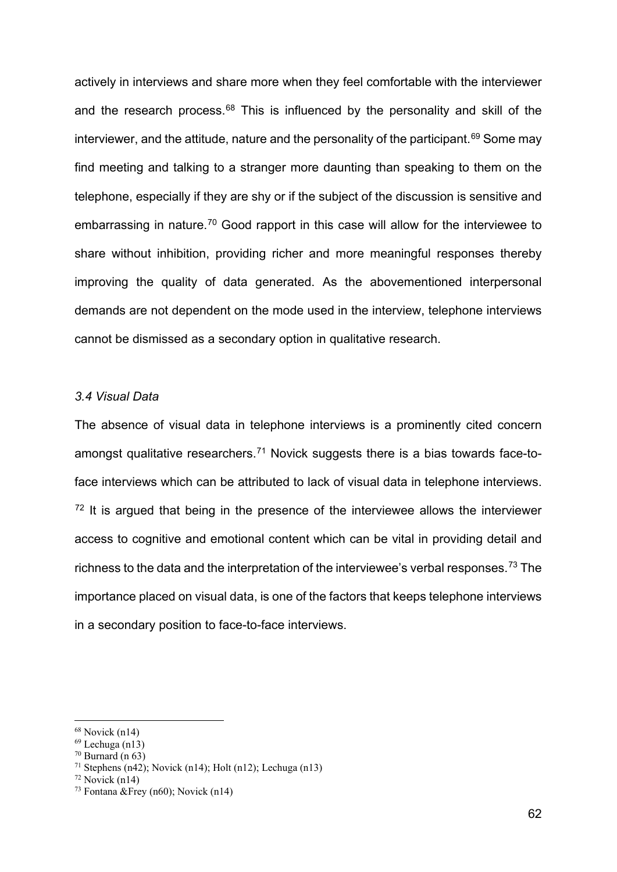actively in interviews and share more when they feel comfortable with the interviewer and the research process.<sup>[68](#page-12-0)</sup> This is influenced by the personality and skill of the interviewer, and the attitude, nature and the personality of the participant.<sup>[69](#page-12-1)</sup> Some may find meeting and talking to a stranger more daunting than speaking to them on the telephone, especially if they are shy or if the subject of the discussion is sensitive and embarrassing in nature.[70](#page-12-2) Good rapport in this case will allow for the interviewee to share without inhibition, providing richer and more meaningful responses thereby improving the quality of data generated. As the abovementioned interpersonal demands are not dependent on the mode used in the interview, telephone interviews cannot be dismissed as a secondary option in qualitative research.

### *3.4 Visual Data*

The absence of visual data in telephone interviews is a prominently cited concern amongst qualitative researchers.<sup>[71](#page-12-3)</sup> Novick suggests there is a bias towards face-toface interviews which can be attributed to lack of visual data in telephone interviews.  $72$  It is argued that being in the presence of the interviewee allows the interviewer access to cognitive and emotional content which can be vital in providing detail and richness to the data and the interpretation of the interviewee's verbal responses.<sup>[73](#page-12-5)</sup> The importance placed on visual data, is one of the factors that keeps telephone interviews in a secondary position to face-to-face interviews.

<span id="page-12-0"></span> $68$  Novick (n14)

<span id="page-12-1"></span> $69$  Lechuga (n13)

<span id="page-12-2"></span> $70$  Burnard (n 63)

<span id="page-12-3"></span><sup>&</sup>lt;sup>71</sup> Stephens (n42); Novick (n14); Holt (n12); Lechuga (n13)

<span id="page-12-4"></span> $72$  Novick (n14)

<span id="page-12-5"></span><sup>&</sup>lt;sup>73</sup> Fontana & Frey (n60); Novick (n14)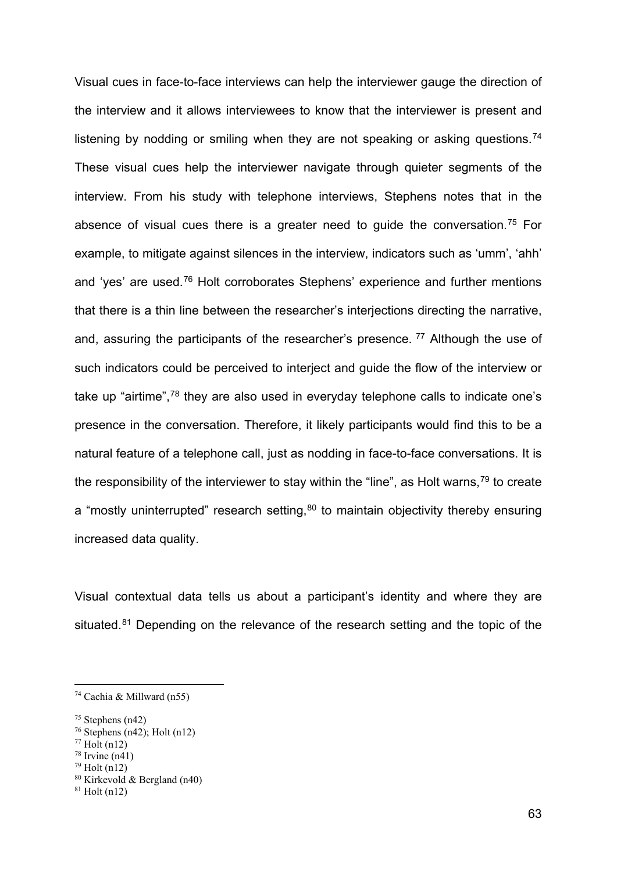Visual cues in face-to-face interviews can help the interviewer gauge the direction of the interview and it allows interviewees to know that the interviewer is present and listening by nodding or smiling when they are not speaking or asking questions.<sup>[74](#page-13-0)</sup> These visual cues help the interviewer navigate through quieter segments of the interview. From his study with telephone interviews, Stephens notes that in the absence of visual cues there is a greater need to guide the conversation.[75](#page-13-1) For example, to mitigate against silences in the interview, indicators such as 'umm', 'ahh' and 'yes' are used.[76](#page-13-2) Holt corroborates Stephens' experience and further mentions that there is a thin line between the researcher's interjections directing the narrative, and, assuring the participants of the researcher's presence.  $77$  Although the use of such indicators could be perceived to interject and guide the flow of the interview or take up "airtime",<sup>[78](#page-13-4)</sup> they are also used in everyday telephone calls to indicate one's presence in the conversation. Therefore, it likely participants would find this to be a natural feature of a telephone call, just as nodding in face-to-face conversations. It is the responsibility of the interviewer to stay within the "line", as Holt warns,  $79$  to create a "mostly uninterrupted" research setting, $80$  to maintain objectivity thereby ensuring increased data quality.

Visual contextual data tells us about a participant's identity and where they are situated.<sup>[81](#page-13-7)</sup> Depending on the relevance of the research setting and the topic of the

<span id="page-13-0"></span><sup>74</sup> Cachia & Millward (n55)

<span id="page-13-1"></span> $75$  Stephens (n42)

<span id="page-13-2"></span><sup>&</sup>lt;sup>76</sup> Stephens  $(n42)$ ; Holt  $(n12)$ 

<span id="page-13-3"></span> $77$  Holt (n12)

<span id="page-13-4"></span> $78$  Irvine (n41)

<span id="page-13-5"></span> $79$  Holt (n12)

<span id="page-13-6"></span><sup>80</sup> Kirkevold & Bergland (n40)

<span id="page-13-7"></span> $81$  Holt (n12)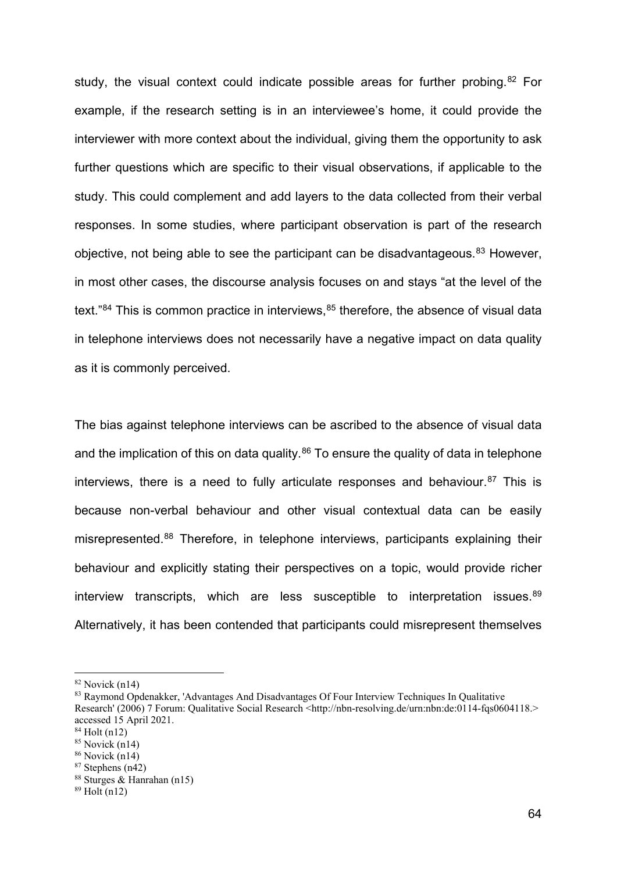study, the visual context could indicate possible areas for further probing.<sup>[82](#page-14-0)</sup> For example, if the research setting is in an interviewee's home, it could provide the interviewer with more context about the individual, giving them the opportunity to ask further questions which are specific to their visual observations, if applicable to the study. This could complement and add layers to the data collected from their verbal responses. In some studies, where participant observation is part of the research objective, not being able to see the participant can be disadvantageous.<sup>[83](#page-14-1)</sup> However, in most other cases, the discourse analysis focuses on and stays "at the level of the text." $84$  This is common practice in interviews,  $85$  therefore, the absence of visual data in telephone interviews does not necessarily have a negative impact on data quality as it is commonly perceived.

The bias against telephone interviews can be ascribed to the absence of visual data and the implication of this on data quality. $86$  To ensure the quality of data in telephone interviews, there is a need to fully articulate responses and behaviour.<sup>[87](#page-14-5)</sup> This is because non-verbal behaviour and other visual contextual data can be easily misrepresented.[88](#page-14-6) Therefore, in telephone interviews, participants explaining their behaviour and explicitly stating their perspectives on a topic, would provide richer interview transcripts, which are less susceptible to interpretation issues.<sup>[89](#page-14-7)</sup> Alternatively, it has been contended that participants could misrepresent themselves

<span id="page-14-0"></span> $82$  Novick (n14)

<span id="page-14-1"></span><sup>83</sup> Raymond Opdenakker, 'Advantages And Disadvantages Of Four Interview Techniques In Qualitative Research' (2006) 7 Forum: Qualitative Social Research <http://nbn-resolving.de/urn:nbn:de:0114-fqs0604118.> accessed 15 April 2021.

<span id="page-14-2"></span><sup>84</sup> Holt (n12)

<span id="page-14-3"></span> $85$  Novick (n14)

<span id="page-14-4"></span> $86$  Novick (n14)

<span id="page-14-5"></span><sup>87</sup> Stephens (n42)

<span id="page-14-6"></span><sup>88</sup> Sturges & Hanrahan (n15)

<span id="page-14-7"></span> $89$  Holt (n12)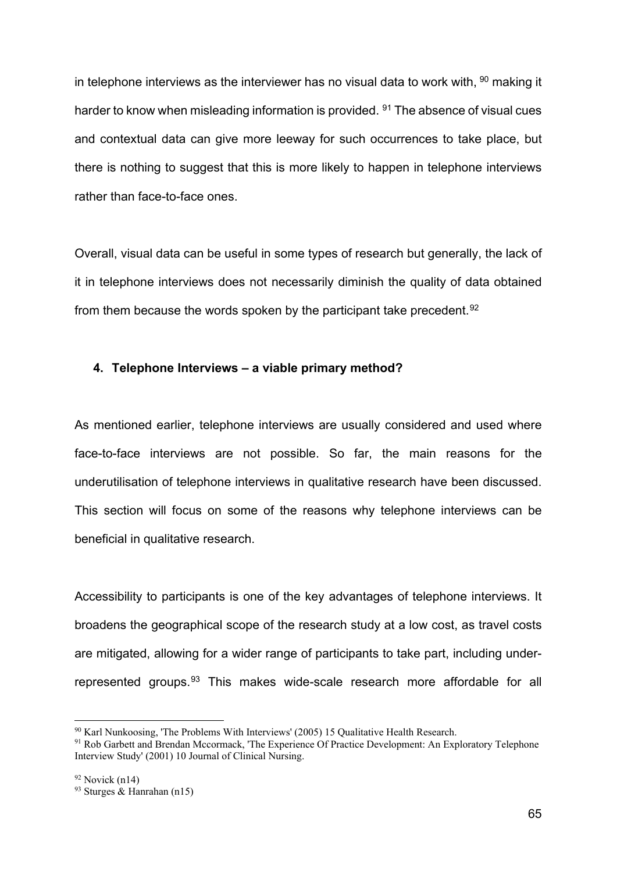in telephone interviews as the interviewer has no visual data to work with,  $90$  making it harder to know when misleading information is provided. <sup>91</sup> The absence of visual cues and contextual data can give more leeway for such occurrences to take place, but there is nothing to suggest that this is more likely to happen in telephone interviews rather than face-to-face ones.

Overall, visual data can be useful in some types of research but generally, the lack of it in telephone interviews does not necessarily diminish the quality of data obtained from them because the words spoken by the participant take precedent.<sup>[92](#page-15-2)</sup>

### **4. Telephone Interviews – a viable primary method?**

As mentioned earlier, telephone interviews are usually considered and used where face-to-face interviews are not possible. So far, the main reasons for the underutilisation of telephone interviews in qualitative research have been discussed. This section will focus on some of the reasons why telephone interviews can be beneficial in qualitative research.

Accessibility to participants is one of the key advantages of telephone interviews. It broadens the geographical scope of the research study at a low cost, as travel costs are mitigated, allowing for a wider range of participants to take part, including under-represented groups.<sup>[93](#page-15-3)</sup> This makes wide-scale research more affordable for all

<span id="page-15-0"></span><sup>90</sup> Karl Nunkoosing, 'The Problems With Interviews' (2005) 15 Qualitative Health Research.

<span id="page-15-1"></span><sup>&</sup>lt;sup>91</sup> Rob Garbett and Brendan Mccormack, 'The Experience Of Practice Development: An Exploratory Telephone Interview Study' (2001) 10 Journal of Clinical Nursing.

<span id="page-15-2"></span> $92$  Novick (n14)

<span id="page-15-3"></span><sup>&</sup>lt;sup>93</sup> Sturges & Hanrahan (n15)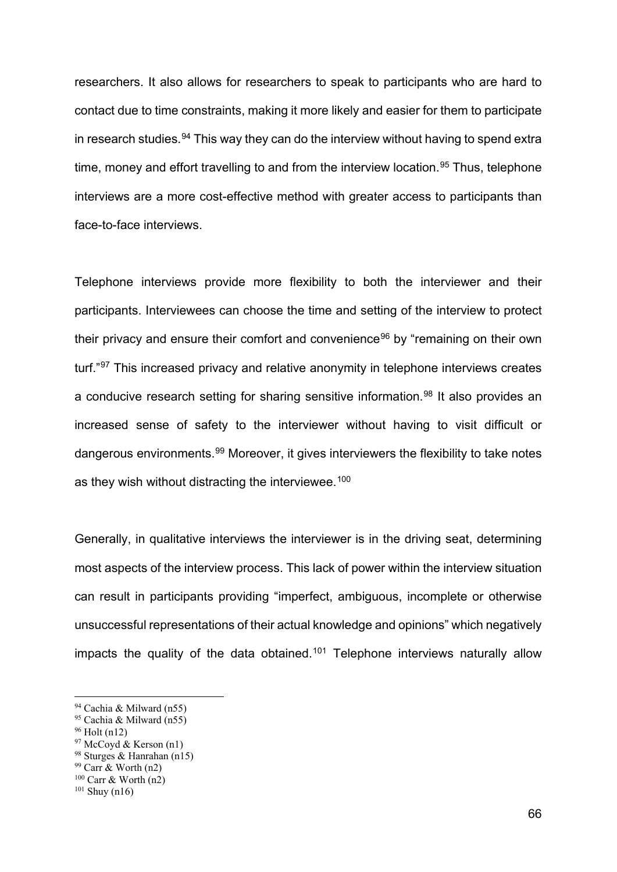researchers. It also allows for researchers to speak to participants who are hard to contact due to time constraints, making it more likely and easier for them to participate in research studies.<sup>[94](#page-16-0)</sup> This way they can do the interview without having to spend extra time, money and effort travelling to and from the interview location.<sup>[95](#page-16-1)</sup> Thus, telephone interviews are a more cost-effective method with greater access to participants than face-to-face interviews.

Telephone interviews provide more flexibility to both the interviewer and their participants. Interviewees can choose the time and setting of the interview to protect their privacy and ensure their comfort and convenience<sup>[96](#page-16-2)</sup> by "remaining on their own turf."[97](#page-16-3) This increased privacy and relative anonymity in telephone interviews creates a conducive research setting for sharing sensitive information.<sup>[98](#page-16-4)</sup> It also provides an increased sense of safety to the interviewer without having to visit difficult or dangerous environments.[99](#page-16-5) Moreover, it gives interviewers the flexibility to take notes as they wish without distracting the interviewee.<sup>[100](#page-16-6)</sup>

Generally, in qualitative interviews the interviewer is in the driving seat, determining most aspects of the interview process. This lack of power within the interview situation can result in participants providing "imperfect, ambiguous, incomplete or otherwise unsuccessful representations of their actual knowledge and opinions" which negatively impacts the quality of the data obtained.<sup>[101](#page-16-7)</sup> Telephone interviews naturally allow

- <span id="page-16-3"></span> $97$  McCoyd & Kerson (n1)
- <span id="page-16-4"></span><sup>98</sup> Sturges & Hanrahan (n15)

<span id="page-16-0"></span><sup>94</sup> Cachia & Milward (n55)

<span id="page-16-1"></span><sup>95</sup> Cachia & Milward (n55)

<span id="page-16-2"></span><sup>96</sup> Holt (n12)

<span id="page-16-5"></span><sup>99</sup> Carr & Worth (n2)

<span id="page-16-6"></span> $100$  Carr & Worth (n2)

<span id="page-16-7"></span> $101$  Shuy (n16)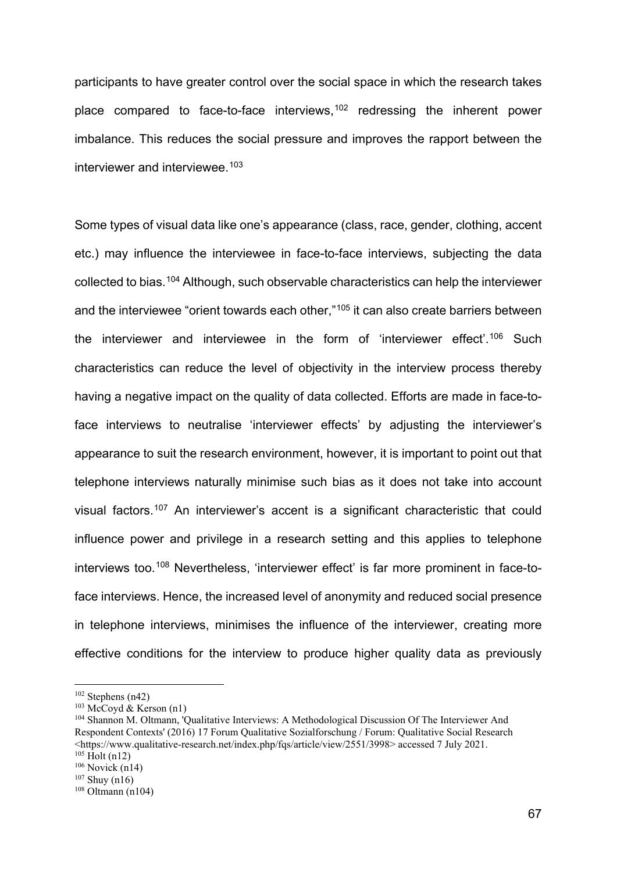participants to have greater control over the social space in which the research takes place compared to face-to-face interviews,<sup>[102](#page-17-0)</sup> redressing the inherent power imbalance. This reduces the social pressure and improves the rapport between the interviewer and interviewee.<sup>[103](#page-17-1)</sup>

Some types of visual data like one's appearance (class, race, gender, clothing, accent etc.) may influence the interviewee in face-to-face interviews, subjecting the data collected to bias. [104](#page-17-2) Although, such observable characteristics can help the interviewer and the interviewee "orient towards each other,"<sup>[105](#page-17-3)</sup> it can also create barriers between the interviewer and interviewee in the form of 'interviewer effect'. [106](#page-17-4) Such characteristics can reduce the level of objectivity in the interview process thereby having a negative impact on the quality of data collected. Efforts are made in face-toface interviews to neutralise 'interviewer effects' by adjusting the interviewer's appearance to suit the research environment, however, it is important to point out that telephone interviews naturally minimise such bias as it does not take into account visual factors.[107](#page-17-5) An interviewer's accent is a significant characteristic that could influence power and privilege in a research setting and this applies to telephone interviews too.<sup>[108](#page-17-6)</sup> Nevertheless, 'interviewer effect' is far more prominent in face-toface interviews. Hence, the increased level of anonymity and reduced social presence in telephone interviews, minimises the influence of the interviewer, creating more effective conditions for the interview to produce higher quality data as previously

<span id="page-17-0"></span> $102$  Stephens (n42)

<span id="page-17-1"></span> $103$  McCoyd & Kerson (n1)

<span id="page-17-2"></span><sup>104</sup> Shannon M. Oltmann, 'Qualitative Interviews: A Methodological Discussion Of The Interviewer And Respondent Contexts' (2016) 17 Forum Qualitative Sozialforschung / Forum: Qualitative Social Research <https://www.qualitative-research.net/index.php/fqs/article/view/2551/3998> accessed 7 July 2021.  $105$  Holt (n12)

<span id="page-17-4"></span><span id="page-17-3"></span> $106$  Novick (n14)

<span id="page-17-5"></span> $107$  Shuy (n16)

<span id="page-17-6"></span> $108$  Oltmann (n104)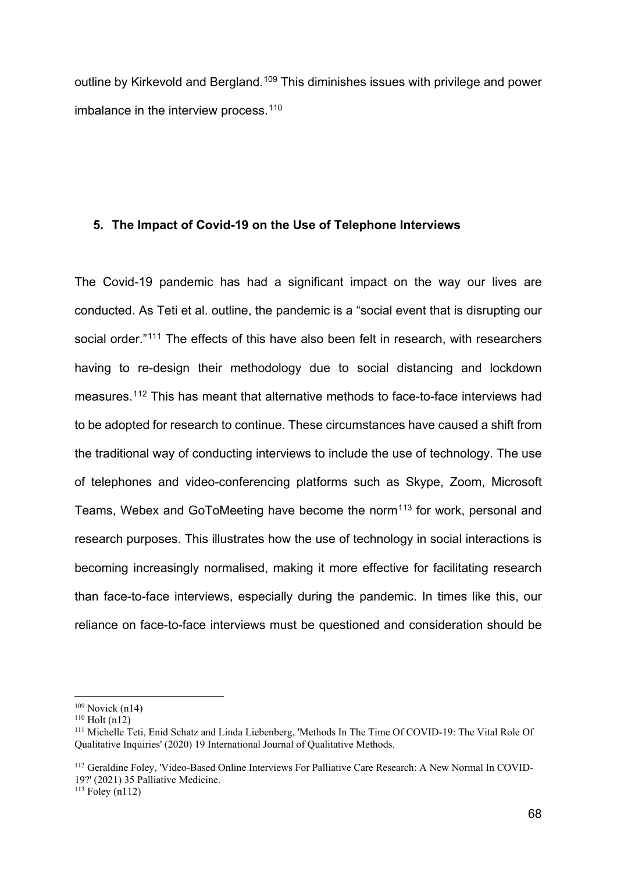outline by Kirkevold and Bergland.<sup>[109](#page-18-0)</sup> This diminishes issues with privilege and power imbalance in the interview process.<sup>[110](#page-18-1)</sup>

# **5. The Impact of Covid-19 on the Use of Telephone Interviews**

The Covid-19 pandemic has had a significant impact on the way our lives are conducted. As Teti et al. outline, the pandemic is a "social event that is disrupting our social order."<sup>111</sup> The effects of this have also been felt in research, with researchers having to re-design their methodology due to social distancing and lockdown measures.[112](#page-18-3) This has meant that alternative methods to face-to-face interviews had to be adopted for research to continue. These circumstances have caused a shift from the traditional way of conducting interviews to include the use of technology. The use of telephones and video-conferencing platforms such as Skype, Zoom, Microsoft Teams, Webex and GoToMeeting have become the norm<sup>[113](#page-18-4)</sup> for work, personal and research purposes. This illustrates how the use of technology in social interactions is becoming increasingly normalised, making it more effective for facilitating research than face-to-face interviews, especially during the pandemic. In times like this, our reliance on face-to-face interviews must be questioned and consideration should be

<span id="page-18-3"></span><sup>112</sup> Geraldine Foley, 'Video-Based Online Interviews For Palliative Care Research: A New Normal In COVID-19?' (2021) 35 Palliative Medicine.

<span id="page-18-4"></span> $113$  Foley (n112)

<span id="page-18-0"></span> $109$  Novick (n14)

<span id="page-18-1"></span><sup>110</sup> Holt (n12)

<span id="page-18-2"></span><sup>111</sup> Michelle Teti, Enid Schatz and Linda Liebenberg, 'Methods In The Time Of COVID-19: The Vital Role Of Qualitative Inquiries' (2020) 19 International Journal of Qualitative Methods.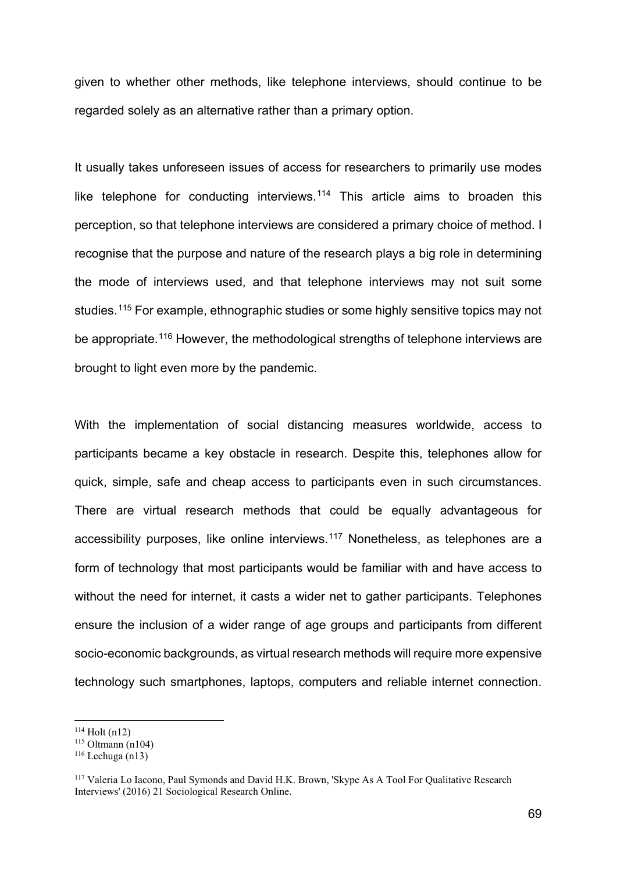given to whether other methods, like telephone interviews, should continue to be regarded solely as an alternative rather than a primary option.

It usually takes unforeseen issues of access for researchers to primarily use modes like telephone for conducting interviews.<sup>[114](#page-19-0)</sup> This article aims to broaden this perception, so that telephone interviews are considered a primary choice of method. I recognise that the purpose and nature of the research plays a big role in determining the mode of interviews used, and that telephone interviews may not suit some studies.[115](#page-19-1) For example, ethnographic studies or some highly sensitive topics may not be appropriate.<sup>[116](#page-19-2)</sup> However, the methodological strengths of telephone interviews are brought to light even more by the pandemic.

With the implementation of social distancing measures worldwide, access to participants became a key obstacle in research. Despite this, telephones allow for quick, simple, safe and cheap access to participants even in such circumstances. There are virtual research methods that could be equally advantageous for accessibility purposes, like online interviews. [117](#page-19-3) Nonetheless, as telephones are a form of technology that most participants would be familiar with and have access to without the need for internet, it casts a wider net to gather participants. Telephones ensure the inclusion of a wider range of age groups and participants from different socio-economic backgrounds, as virtual research methods will require more expensive technology such smartphones, laptops, computers and reliable internet connection.

<span id="page-19-0"></span><sup>114</sup> Holt (n12)

<span id="page-19-1"></span> $115$  Oltmann (n104)

<span id="page-19-2"></span> $116$  Lechuga (n13)

<span id="page-19-3"></span><sup>&</sup>lt;sup>117</sup> Valeria Lo Iacono, Paul Symonds and David H.K. Brown, 'Skype As A Tool For Qualitative Research Interviews' (2016) 21 Sociological Research Online.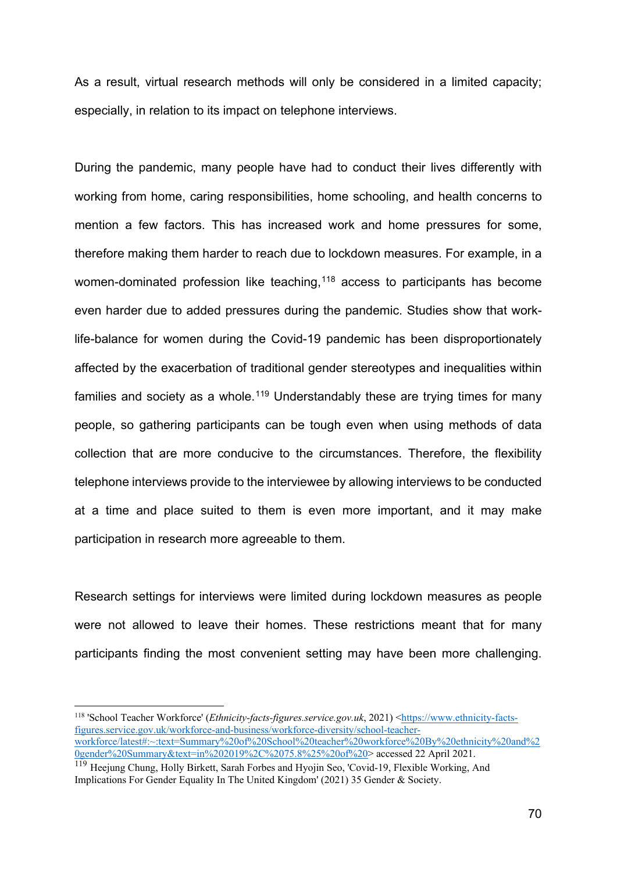As a result, virtual research methods will only be considered in a limited capacity; especially, in relation to its impact on telephone interviews.

During the pandemic, many people have had to conduct their lives differently with working from home, caring responsibilities, home schooling, and health concerns to mention a few factors. This has increased work and home pressures for some, therefore making them harder to reach due to lockdown measures. For example, in a women-dominated profession like teaching,<sup>[118](#page-20-0)</sup> access to participants has become even harder due to added pressures during the pandemic. Studies show that worklife-balance for women during the Covid-19 pandemic has been disproportionately affected by the exacerbation of traditional gender stereotypes and inequalities within families and society as a whole.<sup>[119](#page-20-1)</sup> Understandably these are trying times for many people, so gathering participants can be tough even when using methods of data collection that are more conducive to the circumstances. Therefore, the flexibility telephone interviews provide to the interviewee by allowing interviews to be conducted at a time and place suited to them is even more important, and it may make participation in research more agreeable to them.

Research settings for interviews were limited during lockdown measures as people were not allowed to leave their homes. These restrictions meant that for many participants finding the most convenient setting may have been more challenging.

<span id="page-20-0"></span><sup>118</sup> 'School Teacher Workforce' (*Ethnicity-facts-figures.service.gov.uk*, 2021) [<https://www.ethnicity-facts](https://www.ethnicity-facts-figures.service.gov.uk/workforce-and-business/workforce-diversity/school-teacher-workforce/latest#:%7E:text=Summary%20of%20School%20teacher%20workforce%20By%20ethnicity%20and%20gender%20Summary&text=in%202019%2C%2075.8%25%20of%20school,and%2085.7%25%20of%20female%20teachers)[figures.service.gov.uk/workforce-and-business/workforce-diversity/school-teacher](https://www.ethnicity-facts-figures.service.gov.uk/workforce-and-business/workforce-diversity/school-teacher-workforce/latest#:%7E:text=Summary%20of%20School%20teacher%20workforce%20By%20ethnicity%20and%20gender%20Summary&text=in%202019%2C%2075.8%25%20of%20school,and%2085.7%25%20of%20female%20teachers)[workforce/latest#:~:text=Summary%20of%20School%20teacher%20workforce%20By%20ethnicity%20and%2](https://www.ethnicity-facts-figures.service.gov.uk/workforce-and-business/workforce-diversity/school-teacher-workforce/latest#:%7E:text=Summary%20of%20School%20teacher%20workforce%20By%20ethnicity%20and%20gender%20Summary&text=in%202019%2C%2075.8%25%20of%20school,and%2085.7%25%20of%20female%20teachers) [0gender%20Summary&text=in%202019%2C%2075.8%25%20of%20>](https://www.ethnicity-facts-figures.service.gov.uk/workforce-and-business/workforce-diversity/school-teacher-workforce/latest#:%7E:text=Summary%20of%20School%20teacher%20workforce%20By%20ethnicity%20and%20gender%20Summary&text=in%202019%2C%2075.8%25%20of%20school,and%2085.7%25%20of%20female%20teachers) accessed 22 April 2021.

<span id="page-20-1"></span><sup>&</sup>lt;sup>119</sup> Heejung Chung, Holly Birkett, Sarah Forbes and Hyojin Seo, 'Covid-19, Flexible Working, And Implications For Gender Equality In The United Kingdom' (2021) 35 Gender & Society.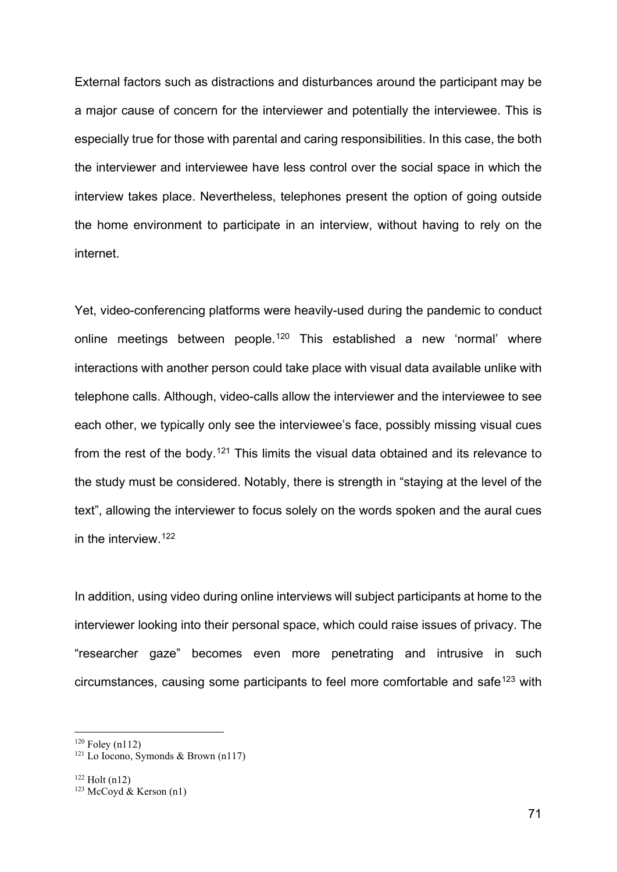External factors such as distractions and disturbances around the participant may be a major cause of concern for the interviewer and potentially the interviewee. This is especially true for those with parental and caring responsibilities. In this case, the both the interviewer and interviewee have less control over the social space in which the interview takes place. Nevertheless, telephones present the option of going outside the home environment to participate in an interview, without having to rely on the internet.

Yet, video-conferencing platforms were heavily-used during the pandemic to conduct online meetings between people.<sup>[120](#page-21-0)</sup> This established a new 'normal' where interactions with another person could take place with visual data available unlike with telephone calls. Although, video-calls allow the interviewer and the interviewee to see each other, we typically only see the interviewee's face, possibly missing visual cues from the rest of the body.<sup>[121](#page-21-1)</sup> This limits the visual data obtained and its relevance to the study must be considered. Notably, there is strength in "staying at the level of the text", allowing the interviewer to focus solely on the words spoken and the aural cues in the interview.[122](#page-21-2)

In addition, using video during online interviews will subject participants at home to the interviewer looking into their personal space, which could raise issues of privacy. The "researcher gaze" becomes even more penetrating and intrusive in such circumstances, causing some participants to feel more comfortable and safe<sup>[123](#page-21-3)</sup> with

<span id="page-21-2"></span> $122$  Holt (n12)

<span id="page-21-0"></span> $120$  Foley (n112)

<span id="page-21-1"></span><sup>&</sup>lt;sup>121</sup> Lo Iocono, Symonds & Brown (n117)

<span id="page-21-3"></span><sup>&</sup>lt;sup>123</sup> McCoyd & Kerson (n1)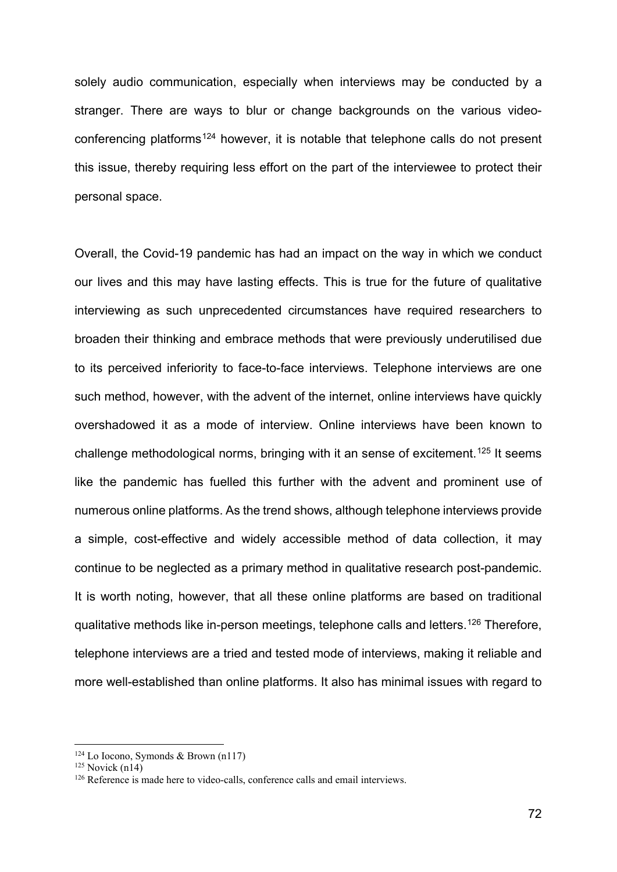solely audio communication, especially when interviews may be conducted by a stranger. There are ways to blur or change backgrounds on the various video-conferencing platforms<sup>[124](#page-22-0)</sup> however, it is notable that telephone calls do not present this issue, thereby requiring less effort on the part of the interviewee to protect their personal space.

Overall, the Covid-19 pandemic has had an impact on the way in which we conduct our lives and this may have lasting effects. This is true for the future of qualitative interviewing as such unprecedented circumstances have required researchers to broaden their thinking and embrace methods that were previously underutilised due to its perceived inferiority to face-to-face interviews. Telephone interviews are one such method, however, with the advent of the internet, online interviews have quickly overshadowed it as a mode of interview. Online interviews have been known to challenge methodological norms, bringing with it an sense of excitement.[125](#page-22-1) It seems like the pandemic has fuelled this further with the advent and prominent use of numerous online platforms. As the trend shows, although telephone interviews provide a simple, cost-effective and widely accessible method of data collection, it may continue to be neglected as a primary method in qualitative research post-pandemic. It is worth noting, however, that all these online platforms are based on traditional qualitative methods like in-person meetings, telephone calls and letters.[126](#page-22-2) Therefore, telephone interviews are a tried and tested mode of interviews, making it reliable and more well-established than online platforms. It also has minimal issues with regard to

<span id="page-22-0"></span><sup>124</sup> Lo Iocono, Symonds & Brown (n117)

<span id="page-22-1"></span> $125$  Novick (n14)

<span id="page-22-2"></span><sup>&</sup>lt;sup>126</sup> Reference is made here to video-calls, conference calls and email interviews.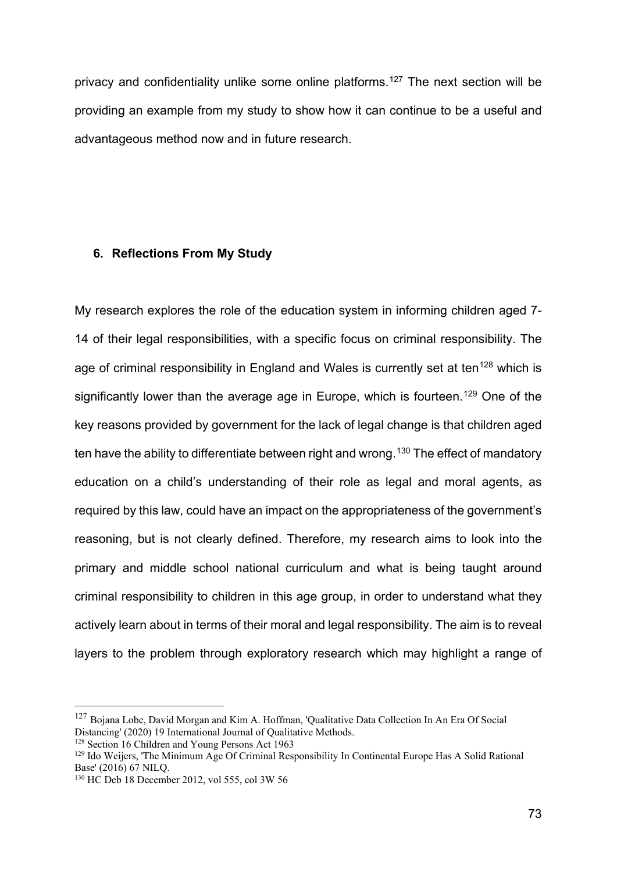privacy and confidentiality unlike some online platforms.[127](#page-23-0) The next section will be providing an example from my study to show how it can continue to be a useful and advantageous method now and in future research.

#### **6. Reflections From My Study**

My research explores the role of the education system in informing children aged 7- 14 of their legal responsibilities, with a specific focus on criminal responsibility. The age of criminal responsibility in England and Wales is currently set at ten<sup>[128](#page-23-1)</sup> which is significantly lower than the average age in Europe, which is fourteen.<sup>[129](#page-23-2)</sup> One of the key reasons provided by government for the lack of legal change is that children aged ten have the ability to differentiate between right and wrong.<sup>[130](#page-23-3)</sup> The effect of mandatory education on a child's understanding of their role as legal and moral agents, as required by this law, could have an impact on the appropriateness of the government's reasoning, but is not clearly defined. Therefore, my research aims to look into the primary and middle school national curriculum and what is being taught around criminal responsibility to children in this age group, in order to understand what they actively learn about in terms of their moral and legal responsibility. The aim is to reveal layers to the problem through exploratory research which may highlight a range of

<span id="page-23-0"></span><sup>&</sup>lt;sup>127</sup> Bojana Lobe, David Morgan and Kim A. Hoffman, 'Qualitative Data Collection In An Era Of Social Distancing' (2020) 19 International Journal of Oualitative Methods.

<span id="page-23-1"></span><sup>&</sup>lt;sup>128</sup> Section 16 Children and Young Persons Act 1963

<span id="page-23-2"></span><sup>&</sup>lt;sup>129</sup> Ido Weijers, 'The Minimum Age Of Criminal Responsibility In Continental Europe Has A Solid Rational Base' (2016) 67 NILQ.

<span id="page-23-3"></span><sup>130</sup> HC Deb 18 December 2012, vol 555, col 3W 56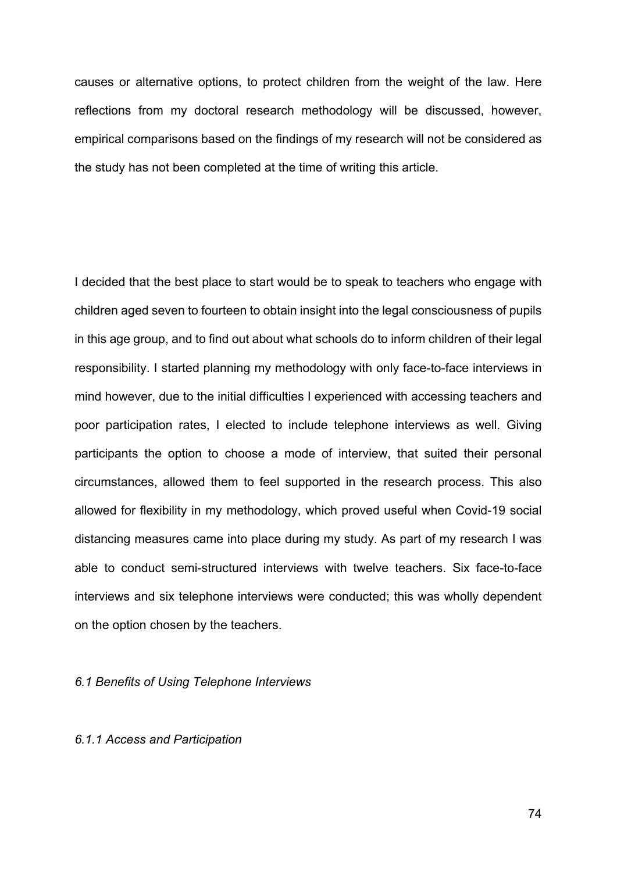causes or alternative options, to protect children from the weight of the law. Here reflections from my doctoral research methodology will be discussed, however, empirical comparisons based on the findings of my research will not be considered as the study has not been completed at the time of writing this article.

I decided that the best place to start would be to speak to teachers who engage with children aged seven to fourteen to obtain insight into the legal consciousness of pupils in this age group, and to find out about what schools do to inform children of their legal responsibility. I started planning my methodology with only face-to-face interviews in mind however, due to the initial difficulties I experienced with accessing teachers and poor participation rates, I elected to include telephone interviews as well. Giving participants the option to choose a mode of interview, that suited their personal circumstances, allowed them to feel supported in the research process. This also allowed for flexibility in my methodology, which proved useful when Covid-19 social distancing measures came into place during my study. As part of my research I was able to conduct semi-structured interviews with twelve teachers. Six face-to-face interviews and six telephone interviews were conducted; this was wholly dependent on the option chosen by the teachers.

#### *6.1 Benefits of Using Telephone Interviews*

#### *6.1.1 Access and Participation*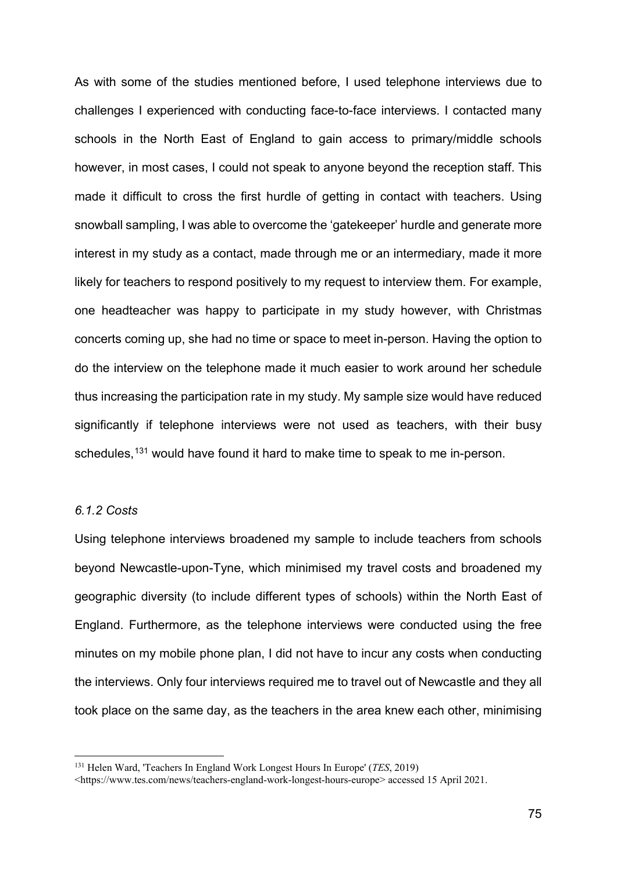As with some of the studies mentioned before, I used telephone interviews due to challenges I experienced with conducting face-to-face interviews. I contacted many schools in the North East of England to gain access to primary/middle schools however, in most cases, I could not speak to anyone beyond the reception staff. This made it difficult to cross the first hurdle of getting in contact with teachers. Using snowball sampling, I was able to overcome the 'gatekeeper' hurdle and generate more interest in my study as a contact, made through me or an intermediary, made it more likely for teachers to respond positively to my request to interview them. For example, one headteacher was happy to participate in my study however, with Christmas concerts coming up, she had no time or space to meet in-person. Having the option to do the interview on the telephone made it much easier to work around her schedule thus increasing the participation rate in my study. My sample size would have reduced significantly if telephone interviews were not used as teachers, with their busy schedules,<sup>[131](#page-25-0)</sup> would have found it hard to make time to speak to me in-person.

## *6.1.2 Costs*

Using telephone interviews broadened my sample to include teachers from schools beyond Newcastle-upon-Tyne, which minimised my travel costs and broadened my geographic diversity (to include different types of schools) within the North East of England. Furthermore, as the telephone interviews were conducted using the free minutes on my mobile phone plan, I did not have to incur any costs when conducting the interviews. Only four interviews required me to travel out of Newcastle and they all took place on the same day, as the teachers in the area knew each other, minimising

<span id="page-25-0"></span><sup>131</sup> Helen Ward, 'Teachers In England Work Longest Hours In Europe' (*TES*, 2019)

<sup>&</sup>lt;https://www.tes.com/news/teachers-england-work-longest-hours-europe> accessed 15 April 2021.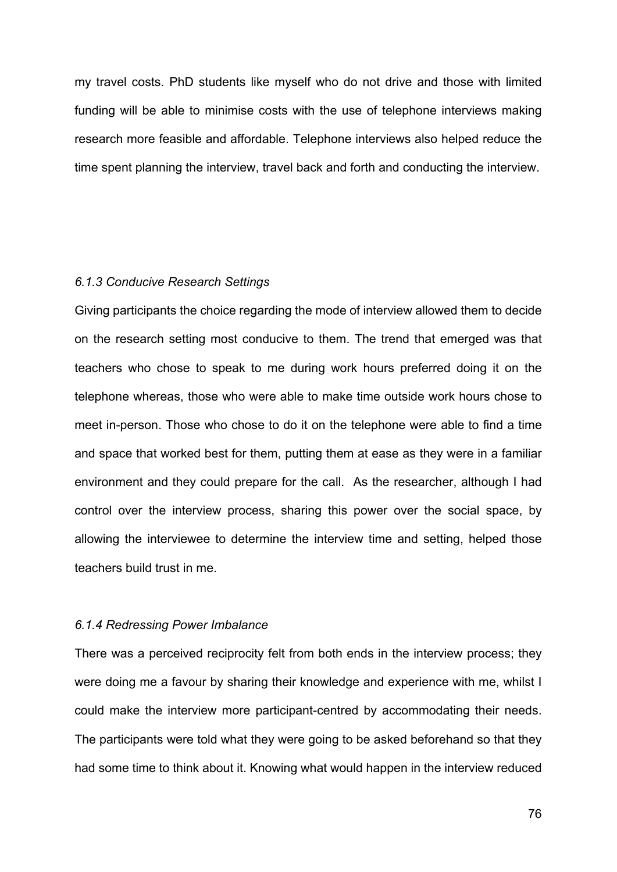my travel costs. PhD students like myself who do not drive and those with limited funding will be able to minimise costs with the use of telephone interviews making research more feasible and affordable. Telephone interviews also helped reduce the time spent planning the interview, travel back and forth and conducting the interview.

#### *6.1.3 Conducive Research Settings*

Giving participants the choice regarding the mode of interview allowed them to decide on the research setting most conducive to them. The trend that emerged was that teachers who chose to speak to me during work hours preferred doing it on the telephone whereas, those who were able to make time outside work hours chose to meet in-person. Those who chose to do it on the telephone were able to find a time and space that worked best for them, putting them at ease as they were in a familiar environment and they could prepare for the call. As the researcher, although I had control over the interview process, sharing this power over the social space, by allowing the interviewee to determine the interview time and setting, helped those teachers build trust in me.

#### *6.1.4 Redressing Power Imbalance*

There was a perceived reciprocity felt from both ends in the interview process; they were doing me a favour by sharing their knowledge and experience with me, whilst I could make the interview more participant-centred by accommodating their needs. The participants were told what they were going to be asked beforehand so that they had some time to think about it. Knowing what would happen in the interview reduced

76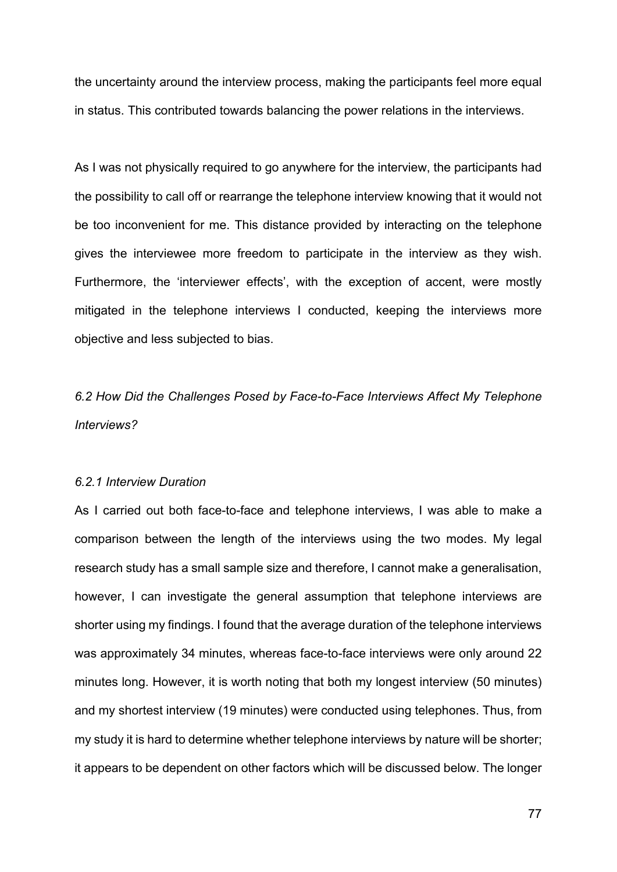the uncertainty around the interview process, making the participants feel more equal in status. This contributed towards balancing the power relations in the interviews.

As I was not physically required to go anywhere for the interview, the participants had the possibility to call off or rearrange the telephone interview knowing that it would not be too inconvenient for me. This distance provided by interacting on the telephone gives the interviewee more freedom to participate in the interview as they wish. Furthermore, the 'interviewer effects', with the exception of accent, were mostly mitigated in the telephone interviews I conducted, keeping the interviews more objective and less subjected to bias.

*6.2 How Did the Challenges Posed by Face-to-Face Interviews Affect My Telephone Interviews?*

#### *6.2.1 Interview Duration*

As I carried out both face-to-face and telephone interviews, I was able to make a comparison between the length of the interviews using the two modes. My legal research study has a small sample size and therefore, I cannot make a generalisation, however, I can investigate the general assumption that telephone interviews are shorter using my findings. I found that the average duration of the telephone interviews was approximately 34 minutes, whereas face-to-face interviews were only around 22 minutes long. However, it is worth noting that both my longest interview (50 minutes) and my shortest interview (19 minutes) were conducted using telephones. Thus, from my study it is hard to determine whether telephone interviews by nature will be shorter; it appears to be dependent on other factors which will be discussed below. The longer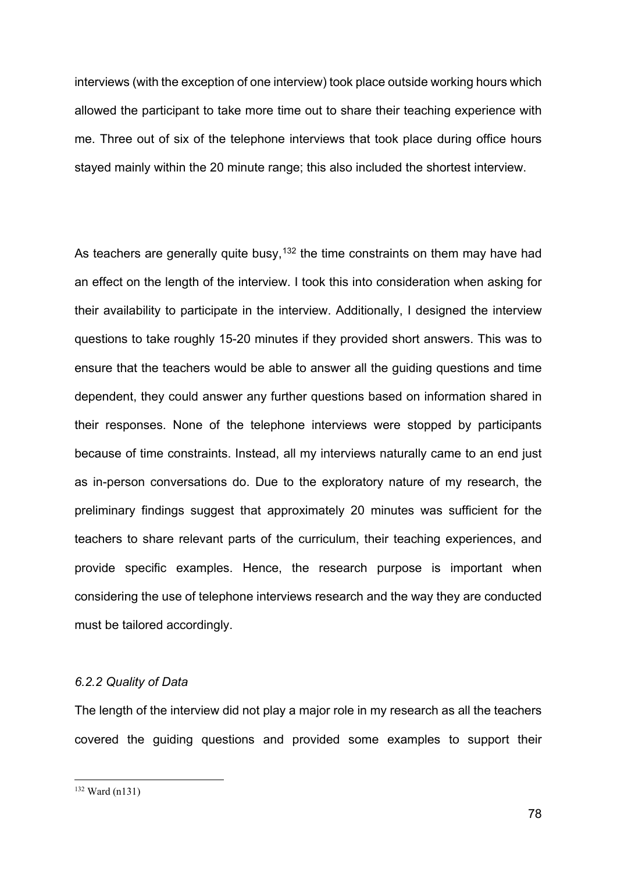interviews (with the exception of one interview) took place outside working hours which allowed the participant to take more time out to share their teaching experience with me. Three out of six of the telephone interviews that took place during office hours stayed mainly within the 20 minute range; this also included the shortest interview.

As teachers are generally quite busy,  $132$  the time constraints on them may have had an effect on the length of the interview. I took this into consideration when asking for their availability to participate in the interview. Additionally, I designed the interview questions to take roughly 15-20 minutes if they provided short answers. This was to ensure that the teachers would be able to answer all the guiding questions and time dependent, they could answer any further questions based on information shared in their responses. None of the telephone interviews were stopped by participants because of time constraints. Instead, all my interviews naturally came to an end just as in-person conversations do. Due to the exploratory nature of my research, the preliminary findings suggest that approximately 20 minutes was sufficient for the teachers to share relevant parts of the curriculum, their teaching experiences, and provide specific examples. Hence, the research purpose is important when considering the use of telephone interviews research and the way they are conducted must be tailored accordingly.

### *6.2.2 Quality of Data*

The length of the interview did not play a major role in my research as all the teachers covered the guiding questions and provided some examples to support their

<span id="page-28-0"></span><sup>132</sup> Ward (n131)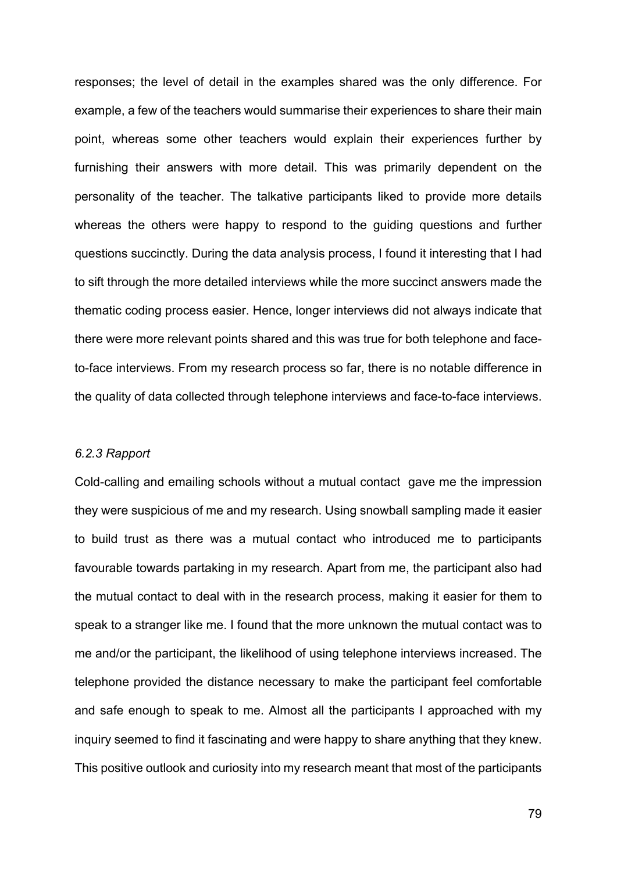responses; the level of detail in the examples shared was the only difference. For example, a few of the teachers would summarise their experiences to share their main point, whereas some other teachers would explain their experiences further by furnishing their answers with more detail. This was primarily dependent on the personality of the teacher. The talkative participants liked to provide more details whereas the others were happy to respond to the guiding questions and further questions succinctly. During the data analysis process, I found it interesting that I had to sift through the more detailed interviews while the more succinct answers made the thematic coding process easier. Hence, longer interviews did not always indicate that there were more relevant points shared and this was true for both telephone and faceto-face interviews. From my research process so far, there is no notable difference in the quality of data collected through telephone interviews and face-to-face interviews.

#### *6.2.3 Rapport*

Cold-calling and emailing schools without a mutual contact gave me the impression they were suspicious of me and my research. Using snowball sampling made it easier to build trust as there was a mutual contact who introduced me to participants favourable towards partaking in my research. Apart from me, the participant also had the mutual contact to deal with in the research process, making it easier for them to speak to a stranger like me. I found that the more unknown the mutual contact was to me and/or the participant, the likelihood of using telephone interviews increased. The telephone provided the distance necessary to make the participant feel comfortable and safe enough to speak to me. Almost all the participants I approached with my inquiry seemed to find it fascinating and were happy to share anything that they knew. This positive outlook and curiosity into my research meant that most of the participants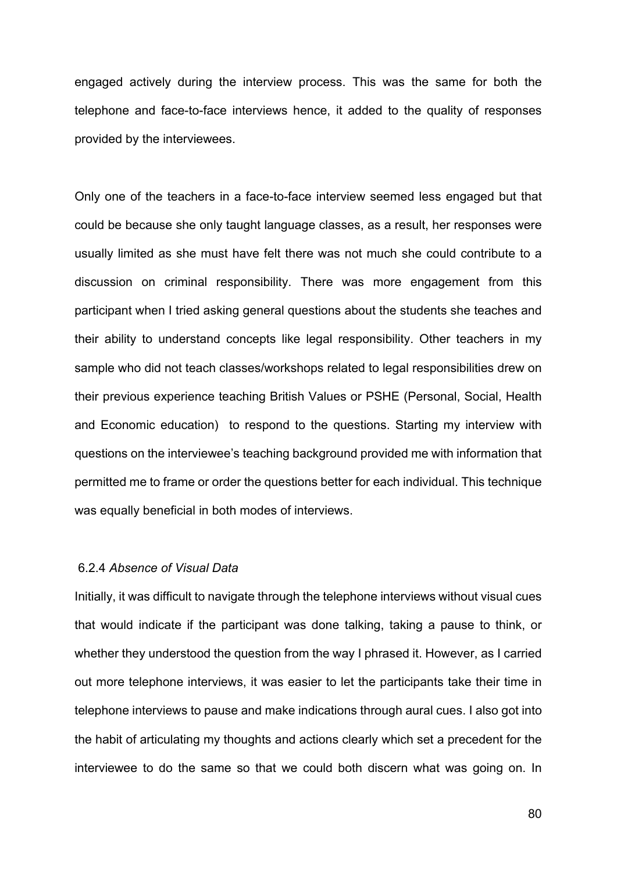engaged actively during the interview process. This was the same for both the telephone and face-to-face interviews hence, it added to the quality of responses provided by the interviewees.

Only one of the teachers in a face-to-face interview seemed less engaged but that could be because she only taught language classes, as a result, her responses were usually limited as she must have felt there was not much she could contribute to a discussion on criminal responsibility. There was more engagement from this participant when I tried asking general questions about the students she teaches and their ability to understand concepts like legal responsibility. Other teachers in my sample who did not teach classes/workshops related to legal responsibilities drew on their previous experience teaching British Values or PSHE (Personal, Social, Health and Economic education) to respond to the questions. Starting my interview with questions on the interviewee's teaching background provided me with information that permitted me to frame or order the questions better for each individual. This technique was equally beneficial in both modes of interviews.

### 6.2.4 *Absence of Visual Data*

Initially, it was difficult to navigate through the telephone interviews without visual cues that would indicate if the participant was done talking, taking a pause to think, or whether they understood the question from the way I phrased it. However, as I carried out more telephone interviews, it was easier to let the participants take their time in telephone interviews to pause and make indications through aural cues. I also got into the habit of articulating my thoughts and actions clearly which set a precedent for the interviewee to do the same so that we could both discern what was going on. In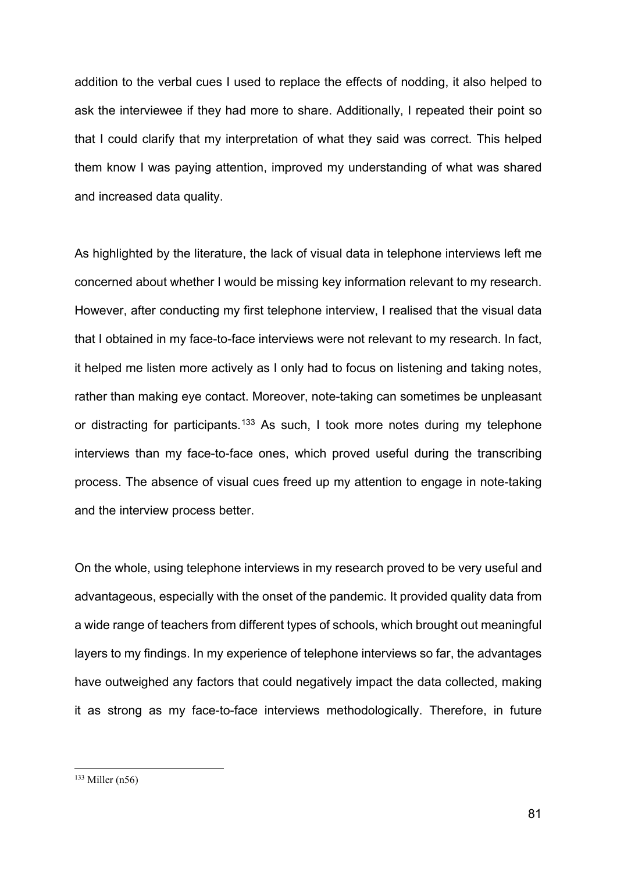addition to the verbal cues I used to replace the effects of nodding, it also helped to ask the interviewee if they had more to share. Additionally, I repeated their point so that I could clarify that my interpretation of what they said was correct. This helped them know I was paying attention, improved my understanding of what was shared and increased data quality.

As highlighted by the literature, the lack of visual data in telephone interviews left me concerned about whether I would be missing key information relevant to my research. However, after conducting my first telephone interview, I realised that the visual data that I obtained in my face-to-face interviews were not relevant to my research. In fact, it helped me listen more actively as I only had to focus on listening and taking notes, rather than making eye contact. Moreover, note-taking can sometimes be unpleasant or distracting for participants.<sup>[133](#page-31-0)</sup> As such, I took more notes during my telephone interviews than my face-to-face ones, which proved useful during the transcribing process. The absence of visual cues freed up my attention to engage in note-taking and the interview process better.

On the whole, using telephone interviews in my research proved to be very useful and advantageous, especially with the onset of the pandemic. It provided quality data from a wide range of teachers from different types of schools, which brought out meaningful layers to my findings. In my experience of telephone interviews so far, the advantages have outweighed any factors that could negatively impact the data collected, making it as strong as my face-to-face interviews methodologically. Therefore, in future

<span id="page-31-0"></span> $133$  Miller (n56)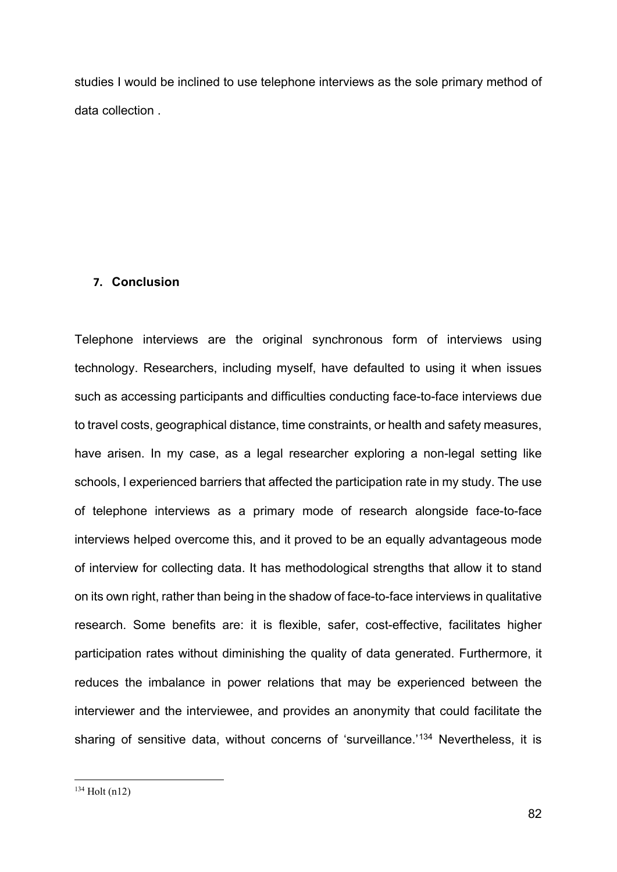studies I would be inclined to use telephone interviews as the sole primary method of data collection .

### **7. Conclusion**

<span id="page-32-0"></span>Telephone interviews are the original synchronous form of interviews using technology. Researchers, including myself, have defaulted to using it when issues such as accessing participants and difficulties conducting face-to-face interviews due to travel costs, geographical distance, time constraints, or health and safety measures, have arisen. In my case, as a legal researcher exploring a non-legal setting like schools, I experienced barriers that affected the participation rate in my study. The use of telephone interviews as a primary mode of research alongside face-to-face interviews helped overcome this, and it proved to be an equally advantageous mode of interview for collecting data. It has methodological strengths that allow it to stand on its own right, rather than being in the shadow of face-to-face interviews in qualitative research. Some benefits are: it is flexible, safer, cost-effective, facilitates higher participation rates without diminishing the quality of data generated. Furthermore, it reduces the imbalance in power relations that may be experienced between the interviewer and the interviewee, and provides an anonymity that could facilitate the sharing of sensitive data, without concerns of 'surveillance.'<sup>[134](#page-32-0)</sup> Nevertheless, it is